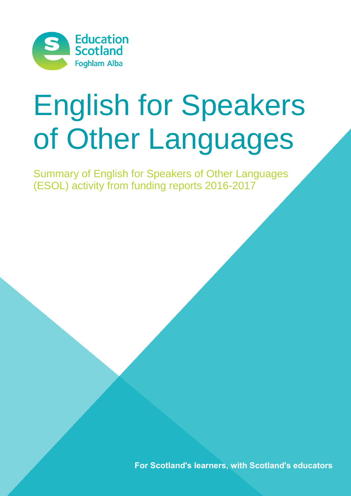

# English for Speakers of Other Languages

Summary of English for Speakers of Other Languages (ESOL) activity from funding reports 2016-2017

**For Scotland's learners, with Scotland's educators**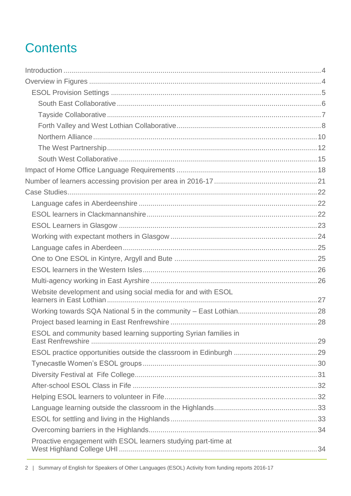# **Contents**

| Website development and using social media for and with ESOL    |  |
|-----------------------------------------------------------------|--|
|                                                                 |  |
|                                                                 |  |
| ESOL and community based learning supporting Syrian families in |  |
|                                                                 |  |
|                                                                 |  |
|                                                                 |  |
|                                                                 |  |
|                                                                 |  |
|                                                                 |  |
|                                                                 |  |
|                                                                 |  |
| Proactive engagement with ESOL learners studying part-time at   |  |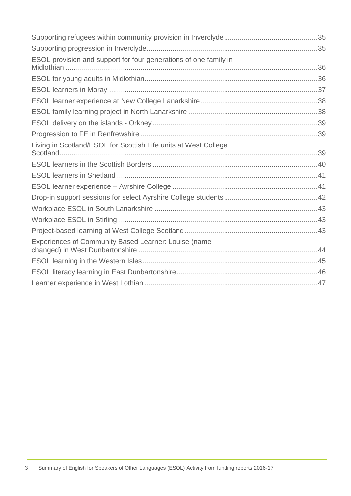| ESOL provision and support for four generations of one family in |  |
|------------------------------------------------------------------|--|
|                                                                  |  |
|                                                                  |  |
|                                                                  |  |
|                                                                  |  |
|                                                                  |  |
|                                                                  |  |
| Living in Scotland/ESOL for Scottish Life units at West College  |  |
|                                                                  |  |
|                                                                  |  |
|                                                                  |  |
|                                                                  |  |
|                                                                  |  |
|                                                                  |  |
|                                                                  |  |
| Experiences of Community Based Learner: Louise (name             |  |
|                                                                  |  |
|                                                                  |  |
|                                                                  |  |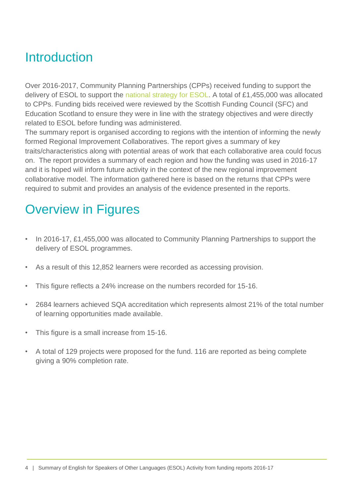# <span id="page-3-0"></span>Introduction

Over 2016-2017, Community Planning Partnerships (CPPs) received funding to support the delivery of ESOL to support the [national strategy for ESOL.](https://www.education.gov.scot/Documents/ESOLStrategy2015to2020.pdf) A total of £1,455,000 was allocated to CPPs. Funding bids received were reviewed by the Scottish Funding Council (SFC) and Education Scotland to ensure they were in line with the strategy objectives and were directly related to ESOL before funding was administered.

The summary report is organised according to regions with the intention of informing the newly formed Regional Improvement Collaboratives. The report gives a summary of key traits/characteristics along with potential areas of work that each collaborative area could focus on. The report provides a summary of each region and how the funding was used in 2016-17 and it is hoped will inform future activity in the context of the new regional improvement collaborative model. The information gathered here is based on the returns that CPPs were required to submit and provides an analysis of the evidence presented in the reports.

# <span id="page-3-1"></span>Overview in Figures

- In 2016-17, £1,455,000 was allocated to Community Planning Partnerships to support the delivery of ESOL programmes.
- As a result of this 12,852 learners were recorded as accessing provision.
- This figure reflects a 24% increase on the numbers recorded for 15-16.
- 2684 learners achieved SQA accreditation which represents almost 21% of the total number of learning opportunities made available.
- This figure is a small increase from 15-16.
- A total of 129 projects were proposed for the fund. 116 are reported as being complete giving a 90% completion rate.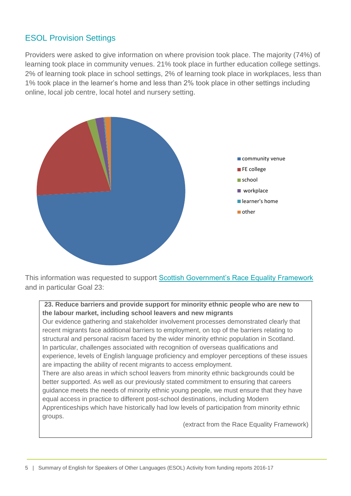# <span id="page-4-0"></span>ESOL Provision Settings

Providers were asked to give information on where provision took place. The majority (74%) of learning took place in community venues. 21% took place in further education college settings. 2% of learning took place in school settings, 2% of learning took place in workplaces, less than 1% took place in the learner's home and less than 2% took place in other settings including online, local job centre, local hotel and nursery setting.



This information was requested to support **Scottish Government's Race Equality Framework** and in particular Goal 23:

**23. Reduce barriers and provide support for minority ethnic people who are new to the labour market, including school leavers and new migrants**

Our evidence gathering and stakeholder involvement processes demonstrated clearly that recent migrants face additional barriers to employment, on top of the barriers relating to structural and personal racism faced by the wider minority ethnic population in Scotland. In particular, challenges associated with recognition of overseas qualifications and experience, levels of English language proficiency and employer perceptions of these issues are impacting the ability of recent migrants to access employment.

There are also areas in which school leavers from minority ethnic backgrounds could be better supported. As well as our previously stated commitment to ensuring that careers guidance meets the needs of minority ethnic young people, we must ensure that they have equal access in practice to different post-school destinations, including Modern Apprenticeships which have historically had low levels of participation from minority ethnic groups.

(extract from the Race Equality Framework)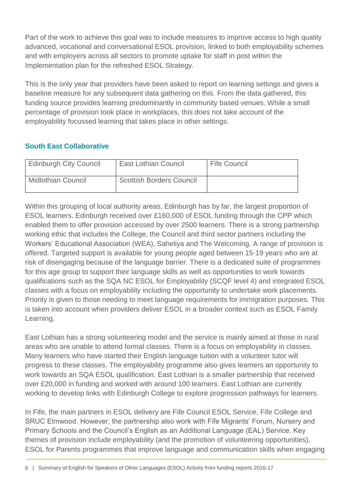Part of the work to achieve this goal was to include measures to improve access to high quality advanced, vocational and conversational ESOL provision, linked to both employability schemes and with employers across all sectors to promote uptake for staff in post within the Implementation plan for the refreshed ESOL Strategy.

This is the only year that providers have been asked to report on learning settings and gives a baseline measure for any subsequent data gathering on this. From the data gathered, this funding source provides learning predominantly in community based venues. While a small percentage of provision took place in workplaces, this does not take account of the employability focussed learning that takes place in other settings.

#### <span id="page-5-0"></span>**South East Collaborative**

| <b>Edinburgh City Council</b> | <b>East Lothian Council</b>     | <b>Fife Council</b> |
|-------------------------------|---------------------------------|---------------------|
| <b>Midlothian Council</b>     | <b>Scottish Borders Council</b> |                     |

Within this grouping of local authority areas, Edinburgh has by far, the largest proportion of ESOL learners. Edinburgh received over £160,000 of ESOL funding through the CPP which enabled them to offer provision accessed by over 2500 learners. There is a strong partnership working ethic that includes the College, the Council and third sector partners including the Workers' Educational Association (WEA), Saheliya and The Welcoming. A range of provision is offered. Targeted support is available for young people aged between 15-19 years who are at risk of disengaging because of the language barrier. There is a dedicated suite of programmes for this age group to support their language skills as well as opportunities to work towards qualifications such as the SQA NC ESOL for Employability (SCQF level 4) and integrated ESOL classes with a focus on employability including the opportunity to undertake work placements. Priority is given to those needing to meet language requirements for immigration purposes. This is taken into account when providers deliver ESOL in a broader context such as ESOL Family Learning.

East Lothian has a strong volunteering model and the service is mainly aimed at those in rural areas who are unable to attend formal classes. There is a focus on employability in classes. Many learners who have started their English language tuition with a volunteer tutor will progress to these classes. The employability programme also gives learners an opportunity to work towards an SQA ESOL qualification. East Lothian is a smaller partnership that received over £20,000 in funding and worked with around 100 learners. East Lothian are currently working to develop links with Edinburgh College to explore progression pathways for learners.

In Fife, the main partners in ESOL delivery are Fife Council ESOL Service, Fife College and SRUC Elmwood. However, the partnership also work with Fife Migrants' Forum, Nursery and Primary Schools and the Council's English as an Additional Language (EAL) Service. Key themes of provision include employability (and the promotion of volunteering opportunities), ESOL for Parents programmes that improve language and communication skills when engaging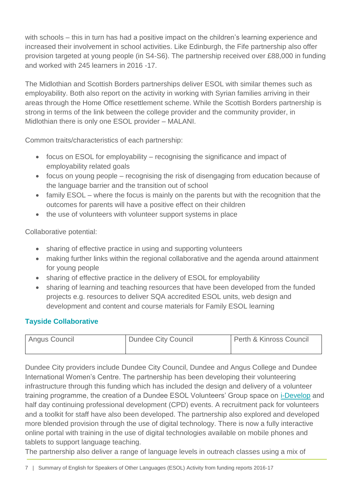with schools – this in turn has had a positive impact on the children's learning experience and increased their involvement in school activities. Like Edinburgh, the Fife partnership also offer provision targeted at young people (in S4-S6). The partnership received over £88,000 in funding and worked with 245 learners in 2016 -17.

The Midlothian and Scottish Borders partnerships deliver ESOL with similar themes such as employability. Both also report on the activity in working with Syrian families arriving in their areas through the Home Office resettlement scheme. While the Scottish Borders partnership is strong in terms of the link between the college provider and the community provider, in Midlothian there is only one ESOL provider – MALANI.

Common traits/characteristics of each partnership:

- focus on ESOL for employability recognising the significance and impact of employability related goals
- focus on young people recognising the risk of disengaging from education because of the language barrier and the transition out of school
- family ESOL where the focus is mainly on the parents but with the recognition that the outcomes for parents will have a positive effect on their children
- the use of volunteers with volunteer support systems in place

Collaborative potential:

- sharing of effective practice in using and supporting volunteers
- making further links within the regional collaborative and the agenda around attainment for young people
- sharing of effective practice in the delivery of ESOL for employability
- sharing of learning and teaching resources that have been developed from the funded projects e.g. resources to deliver SQA accredited ESOL units, web design and development and content and course materials for Family ESOL learning

#### <span id="page-6-0"></span>**Tayside Collaborative**

| Angus Council | <b>Dundee City Council</b> | Perth & Kinross Council |
|---------------|----------------------------|-------------------------|
|               |                            |                         |

Dundee City providers include Dundee City Council, Dundee and Angus College and Dundee International Women's Centre. The partnership has been developing their volunteering infrastructure through this funding which has included the design and delivery of a volunteer training programme, the creation of a Dundee ESOL Volunteers' Group space on [i-Develop](http://www.i-develop-cld.org.uk/) and half day continuing professional development (CPD) events. A recruitment pack for volunteers and a toolkit for staff have also been developed. The partnership also explored and developed more blended provision through the use of digital technology. There is now a fully interactive online portal with training in the use of digital technologies available on mobile phones and tablets to support language teaching.

The partnership also deliver a range of language levels in outreach classes using a mix of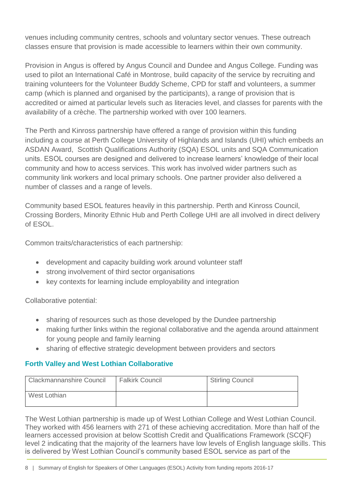venues including community centres, schools and voluntary sector venues. These outreach classes ensure that provision is made accessible to learners within their own community.

Provision in Angus is offered by Angus Council and Dundee and Angus College. Funding was used to pilot an International Café in Montrose, build capacity of the service by recruiting and training volunteers for the Volunteer Buddy Scheme, CPD for staff and volunteers, a summer camp (which is planned and organised by the participants), a range of provision that is accredited or aimed at particular levels such as literacies level, and classes for parents with the availability of a crèche. The partnership worked with over 100 learners.

The Perth and Kinross partnership have offered a range of provision within this funding including a course at Perth College University of Highlands and Islands (UHI) which embeds an ASDAN Award, Scottish Qualifications Authority (SQA) ESOL units and SQA Communication units. ESOL courses are designed and delivered to increase learners' knowledge of their local community and how to access services. This work has involved wider partners such as community link workers and local primary schools. One partner provider also delivered a number of classes and a range of levels.

Community based ESOL features heavily in this partnership. Perth and Kinross Council, Crossing Borders, Minority Ethnic Hub and Perth College UHI are all involved in direct delivery of ESOL.

Common traits/characteristics of each partnership:

- development and capacity building work around volunteer staff
- strong involvement of third sector organisations
- key contexts for learning include employability and integration

Collaborative potential:

- sharing of resources such as those developed by the Dundee partnership
- making further links within the regional collaborative and the agenda around attainment for young people and family learning
- sharing of effective strategic development between providers and sectors

#### <span id="page-7-0"></span>**Forth Valley and West Lothian Collaborative**

| Clackmannanshire Council | <b>Falkirk Council</b> | <b>Stirling Council</b> |
|--------------------------|------------------------|-------------------------|
| West Lothian             |                        |                         |

The West Lothian partnership is made up of West Lothian College and West Lothian Council. They worked with 456 learners with 271 of these achieving accreditation. More than half of the learners accessed provision at below Scottish Credit and Qualifications Framework (SCQF) level 2 indicating that the majority of the learners have low levels of English language skills. This is delivered by West Lothian Council's community based ESOL service as part of the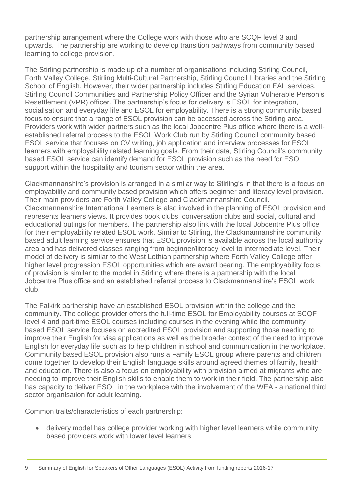partnership arrangement where the College work with those who are SCQF level 3 and upwards. The partnership are working to develop transition pathways from community based learning to college provision.

The Stirling partnership is made up of a number of organisations including Stirling Council, Forth Valley College, Stirling Multi-Cultural Partnership, Stirling Council Libraries and the Stirling School of English. However, their wider partnership includes Stirling Education EAL services, Stirling Council Communities and Partnership Policy Officer and the Syrian Vulnerable Person's Resettlement (VPR) officer. The partnership's focus for delivery is ESOL for integration, socialisation and everyday life and ESOL for employability. There is a strong community based focus to ensure that a range of ESOL provision can be accessed across the Stirling area. Providers work with wider partners such as the local Jobcentre Plus office where there is a wellestablished referral process to the ESOL Work Club run by Stirling Council community based ESOL service that focuses on CV writing, job application and interview processes for ESOL learners with employability related learning goals. From their data, Stirling Council's community based ESOL service can identify demand for ESOL provision such as the need for ESOL support within the hospitality and tourism sector within the area.

Clackmannanshire's provision is arranged in a similar way to Stirling's in that there is a focus on employability and community based provision which offers beginner and literacy level provision. Their main providers are Forth Valley College and Clackmannanshire Council. Clackmannanshire International Learners is also involved in the planning of ESOL provision and represents learners views. It provides book clubs, conversation clubs and social, cultural and educational outings for members. The partnership also link with the local Jobcentre Plus office for their employability related ESOL work. Similar to Stirling, the Clackmannanshire community based adult learning service ensures that ESOL provision is available across the local authority area and has delivered classes ranging from beginner/literacy level to intermediate level. Their model of delivery is similar to the West Lothian partnership where Forth Valley College offer higher level progression ESOL opportunities which are award bearing. The employability focus of provision is similar to the model in Stirling where there is a partnership with the local Jobcentre Plus office and an established referral process to Clackmannanshire's ESOL work club.

The Falkirk partnership have an established ESOL provision within the college and the community. The college provider offers the full-time ESOL for Employability courses at SCQF level 4 and part-time ESOL courses including courses in the evening while the community based ESOL service focuses on accredited ESOL provision and supporting those needing to improve their English for visa applications as well as the broader context of the need to improve English for everyday life such as to help children in school and communication in the workplace. Community based ESOL provision also runs a Family ESOL group where parents and children come together to develop their English language skills around agreed themes of family, health and education. There is also a focus on employability with provision aimed at migrants who are needing to improve their English skills to enable them to work in their field. The partnership also has capacity to deliver ESOL in the workplace with the involvement of the WEA - a national third sector organisation for adult learning.

Common traits/characteristics of each partnership:

 delivery model has college provider working with higher level learners while community based providers work with lower level learners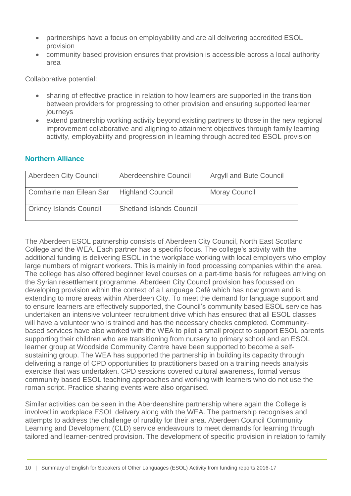- partnerships have a focus on employability and are all delivering accredited ESOL provision
- community based provision ensures that provision is accessible across a local authority area

Collaborative potential:

- sharing of effective practice in relation to how learners are supported in the transition between providers for progressing to other provision and ensuring supported learner journeys
- extend partnership working activity beyond existing partners to those in the new regional improvement collaborative and aligning to attainment objectives through family learning activity, employability and progression in learning through accredited ESOL provision

#### <span id="page-9-0"></span>**Northern Alliance**

| <b>Aberdeen City Council</b>  | Aberdeenshire Council           | <b>Argyll and Bute Council</b> |
|-------------------------------|---------------------------------|--------------------------------|
| Comhairle nan Eilean Sar      | <b>Highland Council</b>         | <b>Moray Council</b>           |
| <b>Orkney Islands Council</b> | <b>Shetland Islands Council</b> |                                |

The Aberdeen ESOL partnership consists of Aberdeen City Council, North East Scotland College and the WEA. Each partner has a specific focus. The college's activity with the additional funding is delivering ESOL in the workplace working with local employers who employ large numbers of migrant workers. This is mainly in food processing companies within the area. The college has also offered beginner level courses on a part-time basis for refugees arriving on the Syrian resettlement programme. Aberdeen City Council provision has focussed on developing provision within the context of a Language Café which has now grown and is extending to more areas within Aberdeen City. To meet the demand for language support and to ensure learners are effectively supported, the Council's community based ESOL service has undertaken an intensive volunteer recruitment drive which has ensured that all ESOL classes will have a volunteer who is trained and has the necessary checks completed. Communitybased services have also worked with the WEA to pilot a small project to support ESOL parents supporting their children who are transitioning from nursery to primary school and an ESOL learner group at Woodside Community Centre have been supported to become a selfsustaining group. The WEA has supported the partnership in building its capacity through delivering a range of CPD opportunities to practitioners based on a training needs analysis exercise that was undertaken. CPD sessions covered cultural awareness, formal versus community based ESOL teaching approaches and working with learners who do not use the roman script. Practice sharing events were also organised.

Similar activities can be seen in the Aberdeenshire partnership where again the College is involved in workplace ESOL delivery along with the WEA. The partnership recognises and attempts to address the challenge of rurality for their area. Aberdeen Council Community Learning and Development (CLD) service endeavours to meet demands for learning through tailored and learner-centred provision. The development of specific provision in relation to family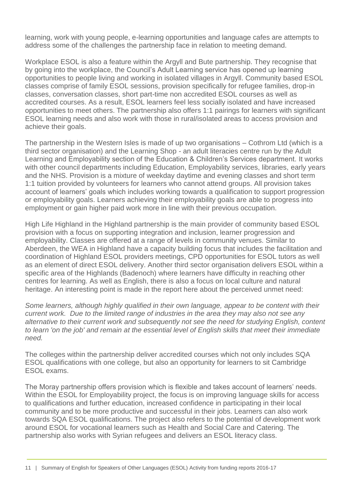learning, work with young people, e-learning opportunities and language cafes are attempts to address some of the challenges the partnership face in relation to meeting demand.

Workplace ESOL is also a feature within the Argyll and Bute partnership. They recognise that by going into the workplace, the Council's Adult Learning service has opened up learning opportunities to people living and working in isolated villages in Argyll. Community based ESOL classes comprise of family ESOL sessions, provision specifically for refugee families, drop-in classes, conversation classes, short part-time non accredited ESOL courses as well as accredited courses. As a result, ESOL learners feel less socially isolated and have increased opportunities to meet others. The partnership also offers 1:1 pairings for learners with significant ESOL learning needs and also work with those in rural/isolated areas to access provision and achieve their goals.

The partnership in the Western Isles is made of up two organisations – Cothrom Ltd (which is a third sector organisation) and the Learning Shop - an adult literacies centre run by the Adult Learning and Employability section of the Education & Children's Services department. It works with other council departments including Education, Employability services, libraries, early years and the NHS. Provision is a mixture of weekday daytime and evening classes and short term 1:1 tuition provided by volunteers for learners who cannot attend groups. All provision takes account of learners' goals which includes working towards a qualification to support progression or employability goals. Learners achieving their employability goals are able to progress into employment or gain higher paid work more in line with their previous occupation.

High Life Highland in the Highland partnership is the main provider of community based ESOL provision with a focus on supporting integration and inclusion, learner progression and employability. Classes are offered at a range of levels in community venues. Similar to Aberdeen, the WEA in Highland have a capacity building focus that includes the facilitation and coordination of Highland ESOL providers meetings, CPD opportunities for ESOL tutors as well as an element of direct ESOL delivery. Another third sector organisation delivers ESOL within a specific area of the Highlands (Badenoch) where learners have difficulty in reaching other centres for learning. As well as English, there is also a focus on local culture and natural heritage. An interesting point is made in the report here about the perceived unmet need:

*Some learners, although highly qualified in their own language, appear to be content with their current work. Due to the limited range of industries in the area they may also not see any alternative to their current work and subsequently not see the need for studying English, content to learn 'on the job' and remain at the essential level of English skills that meet their immediate need.*

The colleges within the partnership deliver accredited courses which not only includes SQA ESOL qualifications with one college, but also an opportunity for learners to sit Cambridge ESOL exams.

The Moray partnership offers provision which is flexible and takes account of learners' needs. Within the ESOL for Employability project, the focus is on improving language skills for access to qualifications and further education, increased confidence in participating in their local community and to be more productive and successful in their jobs. Learners can also work towards SQA ESOL qualifications. The project also refers to the potential of development work around ESOL for vocational learners such as Health and Social Care and Catering. The partnership also works with Syrian refugees and delivers an ESOL literacy class.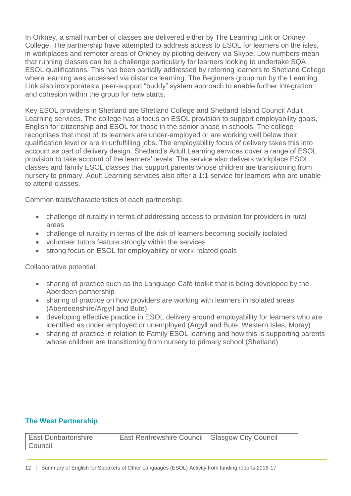In Orkney, a small number of classes are delivered either by The Learning Link or Orkney College. The partnership have attempted to address access to ESOL for learners on the isles, in workplaces and remoter areas of Orkney by piloting delivery via Skype. Low numbers mean that running classes can be a challenge particularly for learners looking to undertake SQA ESOL qualifications. This has been partially addressed by referring learners to Shetland College where learning was accessed via distance learning. The Beginners group run by the Learning Link also incorporates a peer-support "buddy" system approach to enable further integration and cohesion within the group for new starts.

Key ESOL providers in Shetland are Shetland College and Shetland Island Council Adult Learning services. The college has a focus on ESOL provision to support employability goals, English for citizenship and ESOL for those in the senior phase in schools. The college recognises that most of its learners are under-employed or are working well below their qualification level or are in unfulfilling jobs. The employability focus of delivery takes this into account as part of delivery design. Shetland's Adult Learning services cover a range of ESOL provision to take account of the learners' levels. The service also delivers workplace ESOL classes and family ESOL classes that support parents whose children are transitioning from nursery to primary. Adult Learning services also offer a 1:1 service for learners who are unable to attend classes.

Common traits/characteristics of each partnership:

- challenge of rurality in terms of addressing access to provision for providers in rural areas
- challenge of rurality in terms of the risk of learners becoming socially isolated
- volunteer tutors feature strongly within the services
- strong focus on ESOL for employability or work-related goals

Collaborative potential:

- sharing of practice such as the Language Café toolkit that is being developed by the Aberdeen partnership
- sharing of practice on how providers are working with learners in isolated areas (Aberdeenshire/Argyll and Bute)
- developing effective practice in ESOL delivery around employability for learners who are identified as under employed or unemployed (Argyll and Bute, Western Isles, Moray)
- sharing of practice in relation to Family ESOL learning and how this is supporting parents whose children are transitioning from nursery to primary school (Shetland)

#### <span id="page-11-0"></span>**The West Partnership**

| <b>East Dunbartonshire</b><br>Council | East Renfrewshire Council   Glasgow City Council |  |
|---------------------------------------|--------------------------------------------------|--|
|---------------------------------------|--------------------------------------------------|--|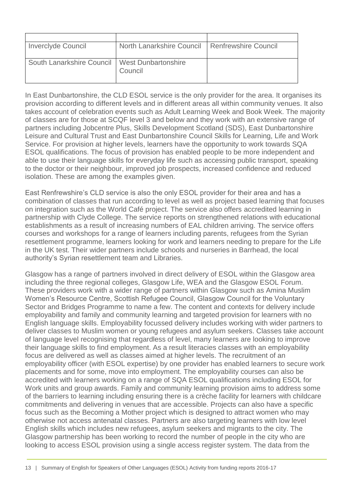| <b>Inverclyde Council</b>                       | North Lanarkshire Council   Renfrewshire Council |  |
|-------------------------------------------------|--------------------------------------------------|--|
| South Lanarkshire Council   West Dunbartonshire | Council                                          |  |

In East Dunbartonshire, the CLD ESOL service is the only provider for the area. It organises its provision according to different levels and in different areas all within community venues. It also takes account of celebration events such as Adult Learning Week and Book Week. The majority of classes are for those at SCQF level 3 and below and they work with an extensive range of partners including Jobcentre Plus, Skills Development Scotland (SDS), East Dunbartonshire Leisure and Cultural Trust and East Dunbartonshire Council Skills for Learning, Life and Work Service. For provision at higher levels, learners have the opportunity to work towards SQA ESOL qualifications. The focus of provision has enabled people to be more independent and able to use their language skills for everyday life such as accessing public transport, speaking to the doctor or their neighbour, improved job prospects, increased confidence and reduced isolation. These are among the examples given.

East Renfrewshire's CLD service is also the only ESOL provider for their area and has a combination of classes that run according to level as well as project based learning that focuses on integration such as the World Café project. The service also offers accredited learning in partnership with Clyde College. The service reports on strengthened relations with educational establishments as a result of increasing numbers of EAL children arriving. The service offers courses and workshops for a range of learners including parents, refugees from the Syrian resettlement programme, learners looking for work and learners needing to prepare for the Life in the UK test. Their wider partners include schools and nurseries in Barrhead, the local authority's Syrian resettlement team and Libraries.

Glasgow has a range of partners involved in direct delivery of ESOL within the Glasgow area including the three regional colleges, Glasgow Life, WEA and the Glasgow ESOL Forum. These providers work with a wider range of partners within Glasgow such as Amina Muslim Women's Resource Centre, Scottish Refugee Council, Glasgow Council for the Voluntary Sector and Bridges Programme to name a few. The content and contexts for delivery include employability and family and community learning and targeted provision for learners with no English language skills. Employability focussed delivery includes working with wider partners to deliver classes to Muslim women or young refugees and asylum seekers. Classes take account of language level recognising that regardless of level, many learners are looking to improve their language skills to find employment. As a result literacies classes with an employability focus are delivered as well as classes aimed at higher levels. The recruitment of an employability officer (with ESOL expertise) by one provider has enabled learners to secure work placements and for some, move into employment. The employability courses can also be accredited with learners working on a range of SQA ESOL qualifications including ESOL for Work units and group awards. Family and community learning provision aims to address some of the barriers to learning including ensuring there is a crèche facility for learners with childcare commitments and delivering in venues that are accessible. Projects can also have a specific focus such as the Becoming a Mother project which is designed to attract women who may otherwise not access antenatal classes. Partners are also targeting learners with low level English skills which includes new refugees, asylum seekers and migrants to the city. The Glasgow partnership has been working to record the number of people in the city who are looking to access ESOL provision using a single access register system. The data from the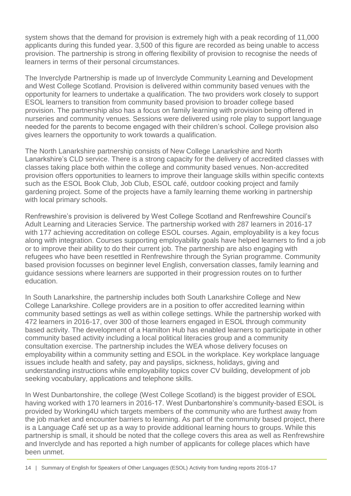system shows that the demand for provision is extremely high with a peak recording of 11,000 applicants during this funded year. 3,500 of this figure are recorded as being unable to access provision. The partnership is strong in offering flexibility of provision to recognise the needs of learners in terms of their personal circumstances.

The Inverclyde Partnership is made up of Inverclyde Community Learning and Development and West College Scotland. Provision is delivered within community based venues with the opportunity for learners to undertake a qualification. The two providers work closely to support ESOL learners to transition from community based provision to broader college based provision. The partnership also has a focus on family learning with provision being offered in nurseries and community venues. Sessions were delivered using role play to support language needed for the parents to become engaged with their children's school. College provision also gives learners the opportunity to work towards a qualification.

The North Lanarkshire partnership consists of New College Lanarkshire and North Lanarkshire's CLD service. There is a strong capacity for the delivery of accredited classes with classes taking place both within the college and community based venues. Non-accredited provision offers opportunities to learners to improve their language skills within specific contexts such as the ESOL Book Club, Job Club, ESOL café, outdoor cooking project and family gardening project. Some of the projects have a family learning theme working in partnership with local primary schools.

Renfrewshire's provision is delivered by West College Scotland and Renfrewshire Council's Adult Learning and Literacies Service. The partnership worked with 287 learners in 2016-17 with 177 achieving accreditation on college ESOL courses. Again, employability is a key focus along with integration. Courses supporting employability goals have helped learners to find a job or to improve their ability to do their current job. The partnership are also engaging with refugees who have been resettled in Renfrewshire through the Syrian programme. Community based provision focusses on beginner level English, conversation classes, family learning and guidance sessions where learners are supported in their progression routes on to further education.

In South Lanarkshire, the partnership includes both South Lanarkshire College and New College Lanarkshire. College providers are in a position to offer accredited learning within community based settings as well as within college settings. While the partnership worked with 472 learners in 2016-17, over 300 of those learners engaged in ESOL through community based activity. The development of a Hamilton Hub has enabled learners to participate in other community based activity including a local political literacies group and a community consultation exercise. The partnership includes the WEA whose delivery focuses on employability within a community setting and ESOL in the workplace. Key workplace language issues include health and safety, pay and payslips, sickness, holidays, giving and understanding instructions while employability topics cover CV building, development of job seeking vocabulary, applications and telephone skills.

In West Dunbartonshire, the college (West College Scotland) is the biggest provider of ESOL having worked with 170 learners in 2016-17. West Dunbartonshire's community-based ESOL is provided by Working4U which targets members of the community who are furthest away from the job market and encounter barriers to learning. As part of the community based project, there is a Language Café set up as a way to provide additional learning hours to groups. While this partnership is small, it should be noted that the college covers this area as well as Renfrewshire and Inverclyde and has reported a high number of applicants for college places which have been unmet.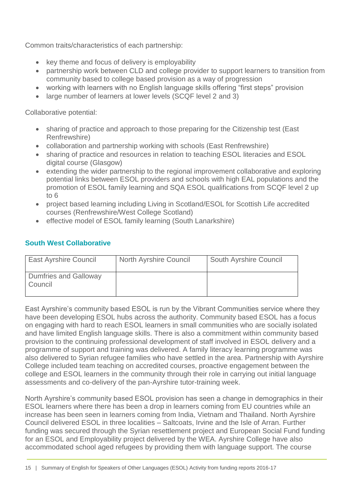Common traits/characteristics of each partnership:

- key theme and focus of delivery is employability
- partnership work between CLD and college provider to support learners to transition from community based to college based provision as a way of progression
- working with learners with no English language skills offering "first steps" provision
- large number of learners at lower levels (SCQF level 2 and 3)

Collaborative potential:

- sharing of practice and approach to those preparing for the Citizenship test (East Renfrewshire)
- collaboration and partnership working with schools (East Renfrewshire)
- sharing of practice and resources in relation to teaching ESOL literacies and ESOL digital course (Glasgow)
- extending the wider partnership to the regional improvement collaborative and exploring potential links between ESOL providers and schools with high EAL populations and the promotion of ESOL family learning and SQA ESOL qualifications from SCQF level 2 up to 6
- project based learning including Living in Scotland/ESOL for Scottish Life accredited courses (Renfrewshire/West College Scotland)
- effective model of ESOL family learning (South Lanarkshire)

#### <span id="page-14-0"></span>**South West Collaborative**

| <b>East Ayrshire Council</b>            | <b>North Ayrshire Council</b> | <b>South Ayrshire Council</b> |
|-----------------------------------------|-------------------------------|-------------------------------|
| <b>Dumfries and Galloway</b><br>Council |                               |                               |

East Ayrshire's community based ESOL is run by the Vibrant Communities service where they have been developing ESOL hubs across the authority. Community based ESOL has a focus on engaging with hard to reach ESOL learners in small communities who are socially isolated and have limited English language skills. There is also a commitment within community based provision to the continuing professional development of staff involved in ESOL delivery and a programme of support and training was delivered. A family literacy learning programme was also delivered to Syrian refugee families who have settled in the area. Partnership with Ayrshire College included team teaching on accredited courses, proactive engagement between the college and ESOL learners in the community through their role in carrying out initial language assessments and co-delivery of the pan-Ayrshire tutor-training week.

North Ayrshire's community based ESOL provision has seen a change in demographics in their ESOL learners where there has been a drop in learners coming from EU countries while an increase has been seen in learners coming from India, Vietnam and Thailand. North Ayrshire Council delivered ESOL in three localities – Saltcoats, Irvine and the Isle of Arran. Further funding was secured through the Syrian resettlement project and European Social Fund funding for an ESOL and Employability project delivered by the WEA. Ayrshire College have also accommodated school aged refugees by providing them with language support. The course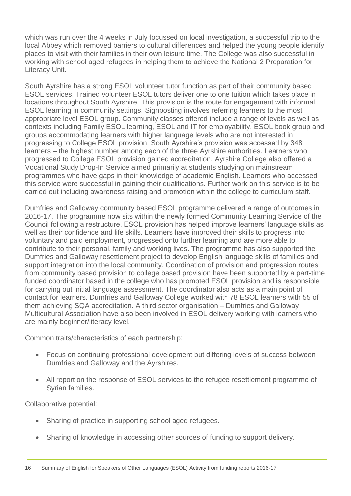which was run over the 4 weeks in July focussed on local investigation, a successful trip to the local Abbey which removed barriers to cultural differences and helped the young people identify places to visit with their families in their own leisure time. The College was also successful in working with school aged refugees in helping them to achieve the National 2 Preparation for Literacy Unit.

South Ayrshire has a strong ESOL volunteer tutor function as part of their community based ESOL services. Trained volunteer ESOL tutors deliver one to one tuition which takes place in locations throughout South Ayrshire. This provision is the route for engagement with informal ESOL learning in community settings. Signposting involves referring learners to the most appropriate level ESOL group. Community classes offered include a range of levels as well as contexts including Family ESOL learning, ESOL and IT for employability, ESOL book group and groups accommodating learners with higher language levels who are not interested in progressing to College ESOL provision. South Ayrshire's provision was accessed by 348 learners – the highest number among each of the three Ayrshire authorities. Learners who progressed to College ESOL provision gained accreditation. Ayrshire College also offered a Vocational Study Drop-In Service aimed primarily at students studying on mainstream programmes who have gaps in their knowledge of academic English. Learners who accessed this service were successful in gaining their qualifications. Further work on this service is to be carried out including awareness raising and promotion within the college to curriculum staff.

Dumfries and Galloway community based ESOL programme delivered a range of outcomes in 2016-17. The programme now sits within the newly formed Community Learning Service of the Council following a restructure. ESOL provision has helped improve learners' language skills as well as their confidence and life skills. Learners have improved their skills to progress into voluntary and paid employment, progressed onto further learning and are more able to contribute to their personal, family and working lives. The programme has also supported the Dumfries and Galloway resettlement project to develop English language skills of families and support integration into the local community. Coordination of provision and progression routes from community based provision to college based provision have been supported by a part-time funded coordinator based in the college who has promoted ESOL provision and is responsible for carrying out initial language assessment. The coordinator also acts as a main point of contact for learners. Dumfries and Galloway College worked with 78 ESOL learners with 55 of them achieving SQA accreditation. A third sector organisation – Dumfries and Galloway Multicultural Association have also been involved in ESOL delivery working with learners who are mainly beginner/literacy level.

Common traits/characteristics of each partnership:

- Focus on continuing professional development but differing levels of success between Dumfries and Galloway and the Ayrshires.
- All report on the response of ESOL services to the refugee resettlement programme of Syrian families.

Collaborative potential:

- Sharing of practice in supporting school aged refugees.
- Sharing of knowledge in accessing other sources of funding to support delivery.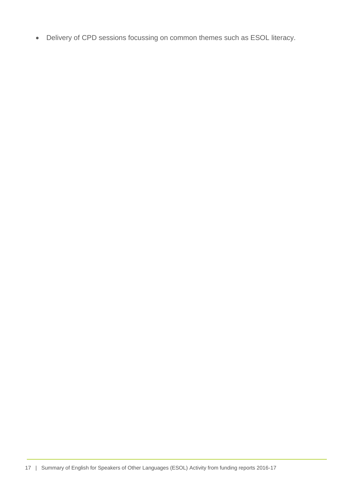Delivery of CPD sessions focussing on common themes such as ESOL literacy.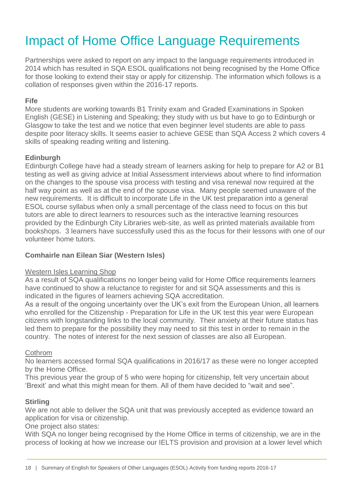# <span id="page-17-0"></span>Impact of Home Office Language Requirements

Partnerships were asked to report on any impact to the language requirements introduced in 2014 which has resulted in SQA ESOL qualifications not being recognised by the Home Office for those looking to extend their stay or apply for citizenship. The information which follows is a collation of responses given within the 2016-17 reports.

#### **Fife**

More students are working towards B1 Trinity exam and Graded Examinations in Spoken English (GESE) in Listening and Speaking; they study with us but have to go to Edinburgh or Glasgow to take the test and we notice that even beginner level students are able to pass despite poor literacy skills. It seems easier to achieve GESE than SQA Access 2 which covers 4 skills of speaking reading writing and listening.

#### **Edinburgh**

Edinburgh College have had a steady stream of learners asking for help to prepare for A2 or B1 testing as well as giving advice at Initial Assessment interviews about where to find information on the changes to the spouse visa process with testing and visa renewal now required at the half way point as well as at the end of the spouse visa. Many people seemed unaware of the new requirements. It is difficult to incorporate Life in the UK test preparation into a general ESOL course syllabus when only a small percentage of the class need to focus on this but tutors are able to direct learners to resources such as the interactive learning resources provided by the Edinburgh City Libraries web-site, as well as printed materials available from bookshops. 3 learners have successfully used this as the focus for their lessons with one of our volunteer home tutors.

#### **Comhairle nan Eilean Siar (Western Isles)**

#### Western Isles Learning Shop

As a result of SQA qualifications no longer being valid for Home Office requirements learners have continued to show a reluctance to register for and sit SQA assessments and this is indicated in the figures of learners achieving SQA accreditation.

As a result of the ongoing uncertainty over the UK's exit from the European Union, all learners who enrolled for the Citizenship - Preparation for Life in the UK test this year were European citizens with longstanding links to the local community. Their anxiety at their future status has led them to prepare for the possibility they may need to sit this test in order to remain in the country. The notes of interest for the next session of classes are also all European.

#### **Cothrom**

No learners accessed formal SQA qualifications in 2016/17 as these were no longer accepted by the Home Office.

This previous year the group of 5 who were hoping for citizenship, felt very uncertain about 'Brexit' and what this might mean for them. All of them have decided to "wait and see".

#### **Stirling**

We are not able to deliver the SQA unit that was previously accepted as evidence toward an application for visa or citizenship.

One project also states:

With SQA no longer being recognised by the Home Office in terms of citizenship, we are in the process of looking at how we increase our IELTS provision and provision at a lower level which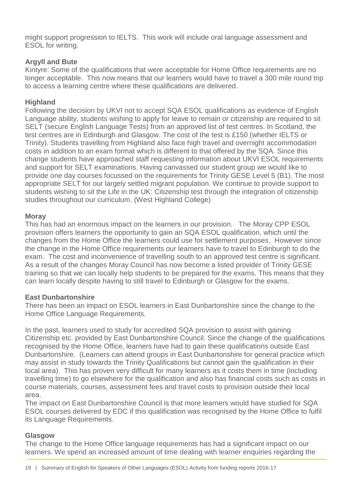might support progression to IELTS. This work will include oral language assessment and ESOL for writing.

#### **Argyll and Bute**

Kintyre: Some of the qualifications that were acceptable for Home Office requirements are no longer acceptable. This now means that our learners would have to travel a 300 mile round trip to access a learning centre where these qualifications are delivered.

#### **Highland**

Following the decision by UKVI not to accept SQA ESOL qualifications as evidence of English Language ability, students wishing to apply for leave to remain or citizenship are required to sit SELT (secure English Language Tests) from an approved list of test centres. In Scotland, the test centres are in Edinburgh and Glasgow. The cost of the test is £150 (whether IELTS or Trinity). Students travelling from Highland also face high travel and overnight accommodation costs in addition to an exam format which is different to that offered by the SQA. Since this change students have approached staff requesting information about UKVI ESOL requirements and support for SELT examinations. Having canvassed our student group we would like to provide one day courses focussed on the requirements for Trinity GESE Level 5 (B1). The most appropriate SELT for our largely settled migrant population. We continue to provide support to students wishing to sit the Life in the UK: Citizenship test through the integration of citizenship studies throughout our curriculum. (West Highland College)

#### **Moray**

This has had an enormous impact on the learners in our provision. The Moray CPP ESOL provision offers learners the opportunity to gain an SQA ESOL qualification, which until the changes from the Home Office the learners could use for settlement purposes. However since the change in the Home Office requirements our learners have to travel to Edinburgh to do the exam. The cost and inconvenience of travelling south to an approved test centre is significant. As a result of the changes Moray Council has now become a listed provider of Trinity GESE training so that we can locally help students to be prepared for the exams. This means that they can learn locally despite having to still travel to Edinburgh or Glasgow for the exams.

#### **East Dunbartonshire**

There has been an impact on ESOL learners in East Dunbartonshire since the change to the Home Office Language Requirements.

In the past, learners used to study for accredited SQA provision to assist with gaining Citizenship etc. provided by East Dunbartonshire Council. Since the change of the qualifications recognised by the Home Office, learners have had to gain these qualifications outside East Dunbartonshire. (Learners can attend groups in East Dunbartonshire for general practice which may assist in study towards the Trinity Qualifications but cannot gain the qualification in their local area). This has proven very difficult for many learners as it costs them in time (including travelling time) to go elsewhere for the qualification and also has financial costs such as costs in course materials, courses, assessment fees and travel costs to provision outside their local area.

The impact on East Dunbartonshire Council is that more learners would have studied for SQA ESOL courses delivered by EDC if this qualification was recognised by the Home Office to fulfil its Language Requirements.

#### **Glasgow**

The change to the Home Office language requirements has had a significant impact on our learners. We spend an increased amount of time dealing with learner enquiries regarding the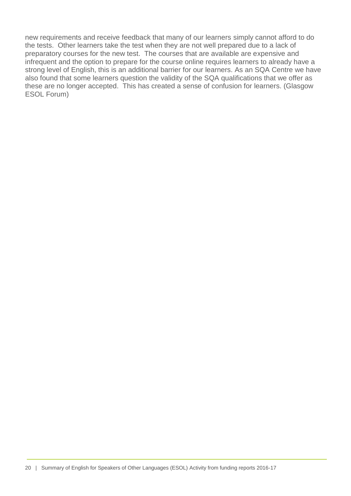new requirements and receive feedback that many of our learners simply cannot afford to do the tests. Other learners take the test when they are not well prepared due to a lack of preparatory courses for the new test. The courses that are available are expensive and infrequent and the option to prepare for the course online requires learners to already have a strong level of English, this is an additional barrier for our learners. As an SQA Centre we have also found that some learners question the validity of the SQA qualifications that we offer as these are no longer accepted. This has created a sense of confusion for learners. (Glasgow ESOL Forum)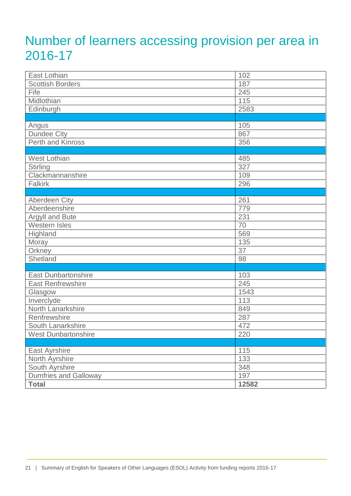# <span id="page-20-0"></span>Number of learners accessing provision per area in 2016-17

| East Lothian               | 102   |
|----------------------------|-------|
| <b>Scottish Borders</b>    | 187   |
| Fife                       | 245   |
| Midlothian                 | 115   |
| Edinburgh                  | 2583  |
|                            |       |
| Angus                      | 105   |
| <b>Dundee City</b>         | 867   |
| Perth and Kinross          | 356   |
|                            |       |
| <b>West Lothian</b>        | 485   |
| <b>Stirling</b>            | 327   |
| Clackmannanshire           | 109   |
| Falkirk                    | 296   |
|                            |       |
| <b>Aberdeen City</b>       | 261   |
| Aberdeenshire              | 779   |
| Argyll and Bute            | 231   |
| Western Isles              | 70    |
| Highland                   | 569   |
| Moray                      | 135   |
| Orkney                     | 37    |
| Shetland                   | 98    |
|                            |       |
| <b>East Dunbartonshire</b> | 103   |
| <b>East Renfrewshire</b>   | 245   |
| Glasgow                    | 1543  |
| Inverclyde                 | 113   |
| North Lanarkshire          | 849   |
| Renfrewshire               | 287   |
| South Lanarkshire          | 472   |
| West Dunbartonshire        | 220   |
|                            |       |
| East Ayrshire              | 115   |
| North Ayrshire             | 133   |
| South Ayrshire             | 348   |
| Dumfries and Galloway      | 197   |
| <b>Total</b>               | 12582 |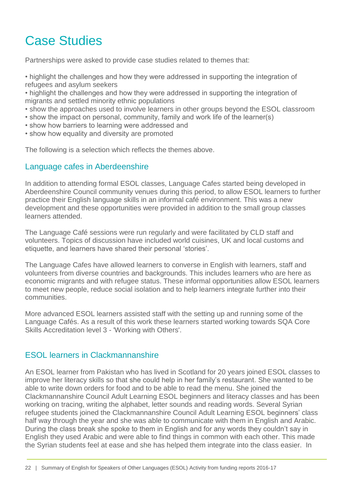# <span id="page-21-0"></span>Case Studies

Partnerships were asked to provide case studies related to themes that:

- highlight the challenges and how they were addressed in supporting the integration of refugees and asylum seekers
- highlight the challenges and how they were addressed in supporting the integration of migrants and settled minority ethnic populations
- show the approaches used to involve learners in other groups beyond the ESOL classroom
- show the impact on personal, community, family and work life of the learner(s)
- show how barriers to learning were addressed and
- show how equality and diversity are promoted

The following is a selection which reflects the themes above.

#### <span id="page-21-1"></span>Language cafes in Aberdeenshire

In addition to attending formal ESOL classes, Language Cafes started being developed in Aberdeenshire Council community venues during this period, to allow ESOL learners to further practice their English language skills in an informal café environment. This was a new development and these opportunities were provided in addition to the small group classes learners attended.

The Language Café sessions were run regularly and were facilitated by CLD staff and volunteers. Topics of discussion have included world cuisines, UK and local customs and etiquette, and learners have shared their personal 'stories'.

The Language Cafes have allowed learners to converse in English with learners, staff and volunteers from diverse countries and backgrounds. This includes learners who are here as economic migrants and with refugee status. These informal opportunities allow ESOL learners to meet new people, reduce social isolation and to help learners integrate further into their communities.

More advanced ESOL learners assisted staff with the setting up and running some of the Language Cafés. As a result of this work these learners started working towards SQA Core Skills Accreditation level 3 - 'Working with Others'.

#### <span id="page-21-2"></span>ESOL learners in Clackmannanshire

An ESOL learner from Pakistan who has lived in Scotland for 20 years joined ESOL classes to improve her literacy skills so that she could help in her family's restaurant. She wanted to be able to write down orders for food and to be able to read the menu. She joined the Clackmannanshire Council Adult Learning ESOL beginners and literacy classes and has been working on tracing, writing the alphabet, letter sounds and reading words. Several Syrian refugee students joined the Clackmannanshire Council Adult Learning ESOL beginners' class half way through the year and she was able to communicate with them in English and Arabic. During the class break she spoke to them in English and for any words they couldn't say in English they used Arabic and were able to find things in common with each other. This made the Syrian students feel at ease and she has helped them integrate into the class easier. In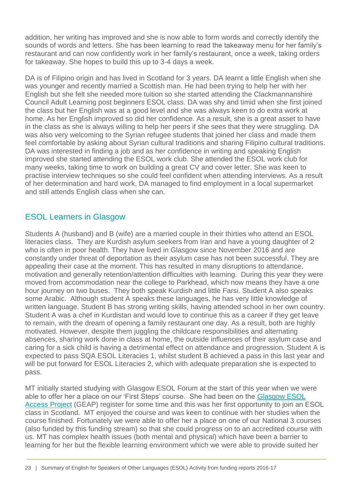addition, her writing has improved and she is now able to form words and correctly identify the sounds of words and letters. She has been learning to read the takeaway menu for her family's restaurant and can now confidently work in her family's restaurant, once a week, taking orders for takeaway. She hopes to build this up to 3-4 days a week.

DA is of Filipino origin and has lived in Scotland for 3 years. DA learnt a little English when she was younger and recently married a Scottish man. He had been trying to help her with her English but she felt she needed more tuition so she started attending the Clackmannanshire Council Adult Learning post beginners ESOL class. DA was shy and timid when she first joined the class but her English was at a good level and she was always keen to do extra work at home. As her English improved so did her confidence. As a result, she is a great asset to have in the class as she is always willing to help her peers if she sees that they were struggling. DA was also very welcoming to the Syrian refugee students that joined her class and made them feel comfortable by asking about Syrian cultural traditions and sharing Filipino cultural traditions. DA was interested in finding a job and as her confidence in writing and speaking English improved she started attending the ESOL work club. She attended the ESOL work club for many weeks, taking time to work on building a great CV and cover letter. She was keen to practise interview techniques so she could feel confident when attending interviews. As a result of her determination and hard work, DA managed to find employment in a local supermarket and still attends English class when she can.

# <span id="page-22-0"></span>ESOL Learners in Glasgow

Students A (husband) and B (wife) are a married couple in their thirties who attend an ESOL literacies class. They are Kurdish asylum seekers from Iran and have a young daughter of 2 who is often in poor health. They have lived in Glasgow since November 2016 and are constantly under threat of deportation as their asylum case has not been successful. They are appealing their case at the moment. This has resulted in many disruptions to attendance, motivation and generally retention/attention difficulties with learning. During this year they were moved from accommodation near the college to Parkhead, which now means they have a one hour journey on two buses. They both speak Kurdish and little Farsi. Student A also speaks some Arabic. Although student A speaks these languages, he has very little knowledge of written language. Student B has strong writing skills, having attended school in her own country. Student A was a chef in Kurdistan and would love to continue this as a career if they get leave to remain, with the dream of opening a family restaurant one day. As a result, both are highly motivated. However, despite them juggling the childcare responsibilities and alternating absences, sharing work done in class at home, the outside influences of their asylum case and caring for a sick child is having a detrimental effect on attendance and progression. Student A is expected to pass SQA ESOL Literacies 1, whilst student B achieved a pass in this last year and will be put forward for ESOL Literacies 2, which with adequate preparation she is expected to pass.

MT initially started studying with Glasgow ESOL Forum at the start of this year when we were able to offer her a place on our 'First Steps' course. She had been on the [Glasgow ESOL](http://glasgowesolaccessregister.com/index.php/learner/add) [Access Project](http://glasgowesolaccessregister.com/index.php/learner/add) (GEAP) register for some time and this was her first opportunity to join an ESOL class in Scotland. MT enjoyed the course and was keen to continue with her studies when the course finished. Fortunately we were able to offer her a place on one of our National 3 courses (also funded by this funding stream) so that she could progress on to an accredited course with us. MT has complex health issues (both mental and physical) which have been a barrier to learning for her but the flexible learning environment which we were able to provide suited her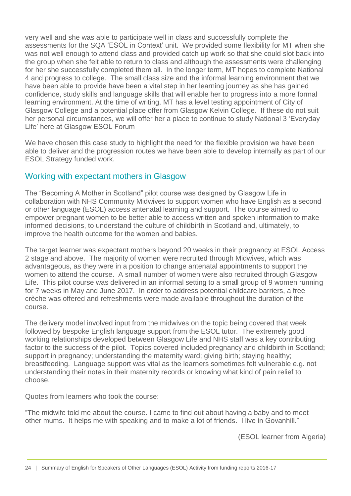very well and she was able to participate well in class and successfully complete the assessments for the SQA 'ESOL in Context' unit. We provided some flexibility for MT when she was not well enough to attend class and provided catch up work so that she could slot back into the group when she felt able to return to class and although the assessments were challenging for her she successfully completed them all. In the longer term, MT hopes to complete National 4 and progress to college. The small class size and the informal learning environment that we have been able to provide have been a vital step in her learning journey as she has gained confidence, study skills and language skills that will enable her to progress into a more formal learning environment. At the time of writing, MT has a level testing appointment of City of Glasgow College and a potential place offer from Glasgow Kelvin College. If these do not suit her personal circumstances, we will offer her a place to continue to study National 3 'Everyday Life' here at Glasgow ESOL Forum

We have chosen this case study to highlight the need for the flexible provision we have been able to deliver and the progression routes we have been able to develop internally as part of our ESOL Strategy funded work.

#### <span id="page-23-0"></span>Working with expectant mothers in Glasgow

The "Becoming A Mother in Scotland" pilot course was designed by Glasgow Life in collaboration with NHS Community Midwives to support women who have English as a second or other language (ESOL) access antenatal learning and support. The course aimed to empower pregnant women to be better able to access written and spoken information to make informed decisions, to understand the culture of childbirth in Scotland and, ultimately, to improve the health outcome for the women and babies.

The target learner was expectant mothers beyond 20 weeks in their pregnancy at ESOL Access 2 stage and above. The majority of women were recruited through Midwives, which was advantageous, as they were in a position to change antenatal appointments to support the women to attend the course. A small number of women were also recruited through Glasgow Life. This pilot course was delivered in an informal setting to a small group of 9 women running for 7 weeks in May and June 2017. In order to address potential childcare barriers, a free crèche was offered and refreshments were made available throughout the duration of the course.

The delivery model involved input from the midwives on the topic being covered that week followed by bespoke English language support from the ESOL tutor. The extremely good working relationships developed between Glasgow Life and NHS staff was a key contributing factor to the success of the pilot. Topics covered included pregnancy and childbirth in Scotland; support in pregnancy; understanding the maternity ward; giving birth; staying healthy; breastfeeding. Language support was vital as the learners sometimes felt vulnerable e.g. not understanding their notes in their maternity records or knowing what kind of pain relief to choose.

Quotes from learners who took the course:

"The midwife told me about the course. I came to find out about having a baby and to meet other mums. It helps me with speaking and to make a lot of friends. I live in Govanhill."

(ESOL learner from Algeria)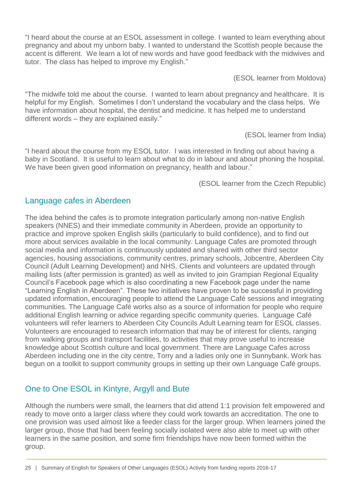"I heard about the course at an ESOL assessment in college. I wanted to learn everything about pregnancy and about my unborn baby. I wanted to understand the Scottish people because the accent is different. We learn a lot of new words and have good feedback with the midwives and tutor. The class has helped to improve my English."

(ESOL learner from Moldova)

"The midwife told me about the course. I wanted to learn about pregnancy and healthcare. It is helpful for my English. Sometimes I don't understand the vocabulary and the class helps. We have information about hospital, the dentist and medicine. It has helped me to understand different words – they are explained easily."

(ESOL learner from India)

"I heard about the course from my ESOL tutor. I was interested in finding out about having a baby in Scotland. It is useful to learn about what to do in labour and about phoning the hospital. We have been given good information on pregnancy, health and labour."

(ESOL learner from the Czech Republic)

## <span id="page-24-0"></span>Language cafes in Aberdeen

The idea behind the cafes is to promote integration particularly among non-native English speakers (NNES) and their immediate community in Aberdeen, provide an opportunity to practice and improve spoken English skills (particularly to build confidence), and to find out more about services available in the local community. Language Cafes are promoted through social media and information is continuously updated and shared with other third sector agencies, housing associations, community centres, primary schools, Jobcentre, Aberdeen City Council (Adult Learning Development) and NHS. Clients and volunteers are updated through mailing lists (after permission is granted) as well as invited to join Grampian Regional Equality Council's Facebook page which is also coordinating a new Facebook page under the name "Learning English in Aberdeen". These two initiatives have proven to be successful in providing updated information, encouraging people to attend the Language Café sessions and integrating communities. The Language Café works also as a source of information for people who require additional English learning or advice regarding specific community queries. Language Café volunteers will refer learners to Aberdeen City Councils Adult Learning team for ESOL classes. Volunteers are encouraged to research information that may be of interest for clients, ranging from walking groups and transport facilities, to activities that may prove useful to increase knowledge about Scottish culture and local government. There are Language Cafes across Aberdeen including one in the city centre, Torry and a ladies only one in Sunnybank. Work has begun on a toolkit to support community groups in setting up their own Language Café groups.

# <span id="page-24-1"></span>One to One ESOL in Kintyre, Argyll and Bute

Although the numbers were small, the learners that did attend 1:1 provision felt empowered and ready to move onto a larger class where they could work towards an accreditation. The one to one provision was used almost like a feeder class for the larger group. When learners joined the larger group, those that had been feeling socially isolated were also able to meet up with other learners in the same position, and some firm friendships have now been formed within the group.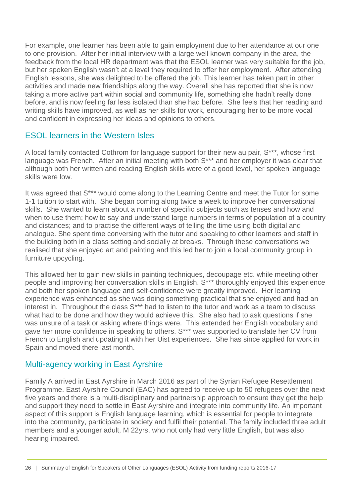For example, one learner has been able to gain employment due to her attendance at our one to one provision. After her initial interview with a large well known company in the area, the feedback from the local HR department was that the ESOL learner was very suitable for the job, but her spoken English wasn't at a level they required to offer her employment. After attending English lessons, she was delighted to be offered the job. This learner has taken part in other activities and made new friendships along the way. Overall she has reported that she is now taking a more active part within social and community life, something she hadn't really done before, and is now feeling far less isolated than she had before. She feels that her reading and writing skills have improved, as well as her skills for work, encouraging her to be more vocal and confident in expressing her ideas and opinions to others.

#### <span id="page-25-0"></span>ESOL learners in the Western Isles

A local family contacted Cothrom for language support for their new au pair, S\*\*\*, whose first language was French. After an initial meeting with both S\*\*\* and her employer it was clear that although both her written and reading English skills were of a good level, her spoken language skills were low.

It was agreed that S\*\*\* would come along to the Learning Centre and meet the Tutor for some 1-1 tuition to start with. She began coming along twice a week to improve her conversational skills. She wanted to learn about a number of specific subjects such as tenses and how and when to use them; how to say and understand large numbers in terms of population of a country and distances; and to practise the different ways of telling the time using both digital and analogue. She spent time conversing with the tutor and speaking to other learners and staff in the building both in a class setting and socially at breaks. Through these conversations we realised that she enjoyed art and painting and this led her to join a local community group in furniture upcycling.

This allowed her to gain new skills in painting techniques, decoupage etc. while meeting other people and improving her conversation skills in English. S\*\*\* thoroughly enjoyed this experience and both her spoken language and self-confidence were greatly improved. Her learning experience was enhanced as she was doing something practical that she enjoyed and had an interest in. Throughout the class  $S^{***}$  had to listen to the tutor and work as a team to discuss what had to be done and how they would achieve this. She also had to ask questions if she was unsure of a task or asking where things were. This extended her English vocabulary and gave her more confidence in speaking to others. S\*\*\* was supported to translate her CV from French to English and updating it with her Uist experiences. She has since applied for work in Spain and moved there last month.

## <span id="page-25-1"></span>Multi-agency working in East Ayrshire

Family A arrived in East Ayrshire in March 2016 as part of the Syrian Refugee Resettlement Programme. East Ayrshire Council (EAC) has agreed to receive up to 50 refugees over the next five years and there is a multi-disciplinary and partnership approach to ensure they get the help and support they need to settle in East Ayrshire and integrate into community life. An important aspect of this support is English language learning, which is essential for people to integrate into the community, participate in society and fulfil their potential. The family included three adult members and a younger adult, M 22yrs, who not only had very little English, but was also hearing impaired.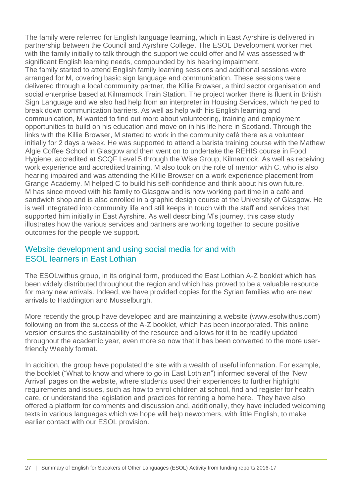The family were referred for English language learning, which in East Ayrshire is delivered in partnership between the Council and Ayrshire College. The ESOL Development worker met with the family initially to talk through the support we could offer and M was assessed with significant English learning needs, compounded by his hearing impairment.

The family started to attend English family learning sessions and additional sessions were arranged for M, covering basic sign language and communication. These sessions were delivered through a local community partner, the Killie Browser, a third sector organisation and social enterprise based at Kilmarnock Train Station. The project worker there is fluent in British Sign Language and we also had help from an interpreter in Housing Services, which helped to break down communication barriers. As well as help with his English learning and communication, M wanted to find out more about volunteering, training and employment opportunities to build on his education and move on in his life here in Scotland. Through the links with the Killie Browser, M started to work in the community café there as a volunteer initially for 2 days a week. He was supported to attend a barista training course with the Mathew Algie Coffee School in Glasgow and then went on to undertake the REHIS course in Food Hygiene, accredited at SCQF Level 5 through the Wise Group, Kilmarnock. As well as receiving work experience and accredited training, M also took on the role of mentor with C, who is also hearing impaired and was attending the Killie Browser on a work experience placement from Grange Academy. M helped C to build his self-confidence and think about his own future. M has since moved with his family to Glasgow and is now working part time in a café and sandwich shop and is also enrolled in a graphic design course at the University of Glasgow. He is well integrated into community life and still keeps in touch with the staff and services that supported him initially in East Ayrshire. As well describing M's journey, this case study illustrates how the various services and partners are working together to secure positive outcomes for the people we support.

#### <span id="page-26-0"></span>Website development and using social media for and with ESOL learners in East Lothian

The ESOLwithus group, in its original form, produced the East Lothian A-Z booklet which has been widely distributed throughout the region and which has proved to be a valuable resource for many new arrivals. Indeed, we have provided copies for the Syrian families who are new arrivals to Haddington and Musselburgh.

More recently the group have developed and are maintaining a website (www.esolwithus.com) following on from the success of the A-Z booklet, which has been incorporated. This online version ensures the sustainability of the resource and allows for it to be readily updated throughout the academic year, even more so now that it has been converted to the more userfriendly Weebly format.

In addition, the group have populated the site with a wealth of useful information. For example, the booklet ("What to know and where to go in East Lothian") informed several of the 'New Arrival' pages on the website, where students used their experiences to further highlight requirements and issues, such as how to enrol children at school, find and register for health care, or understand the legislation and practices for renting a home here. They have also offered a platform for comments and discussion and, additionally, they have included welcoming texts in various languages which we hope will help newcomers, with little English, to make earlier contact with our ESOL provision.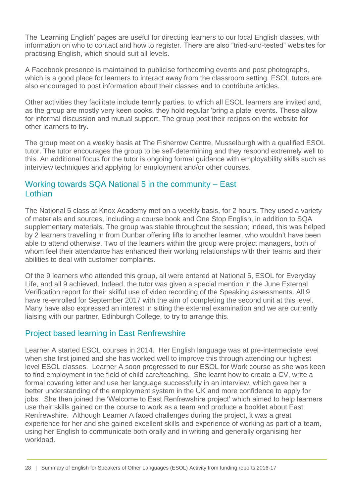The 'Learning English' pages are useful for directing learners to our local English classes, with information on who to contact and how to register. There are also "tried-and-tested" websites for practising English, which should suit all levels.

A Facebook presence is maintained to publicise forthcoming events and post photographs, which is a good place for learners to interact away from the classroom setting. ESOL tutors are also encouraged to post information about their classes and to contribute articles.

Other activities they facilitate include termly parties, to which all ESOL learners are invited and, as the group are mostly very keen cooks, they hold regular 'bring a plate' events. These allow for informal discussion and mutual support. The group post their recipes on the website for other learners to try.

The group meet on a weekly basis at The Fisherrow Centre, Musselburgh with a qualified ESOL tutor. The tutor encourages the group to be self-determining and they respond extremely well to this. An additional focus for the tutor is ongoing formal guidance with employability skills such as interview techniques and applying for employment and/or other courses.

#### <span id="page-27-0"></span>Working towards SQA National 5 in the community – East Lothian

The National 5 class at Knox Academy met on a weekly basis, for 2 hours. They used a variety of materials and sources, including a course book and One Stop English, in addition to SQA supplementary materials. The group was stable throughout the session; indeed, this was helped by 2 learners travelling in from Dunbar offering lifts to another learner, who wouldn't have been able to attend otherwise. Two of the learners within the group were project managers, both of whom feel their attendance has enhanced their working relationships with their teams and their abilities to deal with customer complaints.

Of the 9 learners who attended this group, all were entered at National 5, ESOL for Everyday Life, and all 9 achieved. Indeed, the tutor was given a special mention in the June External Verification report for their skilful use of video recording of the Speaking assessments. All 9 have re-enrolled for September 2017 with the aim of completing the second unit at this level. Many have also expressed an interest in sitting the external examination and we are currently liaising with our partner, Edinburgh College, to try to arrange this.

#### <span id="page-27-1"></span>Project based learning in East Renfrewshire

Learner A started ESOL courses in 2014. Her English language was at pre-intermediate level when she first joined and she has worked well to improve this through attending our highest level ESOL classes. Learner A soon progressed to our ESOL for Work course as she was keen to find employment in the field of child care/teaching. She learnt how to create a CV, write a formal covering letter and use her language successfully in an interview, which gave her a better understanding of the employment system in the UK and more confidence to apply for jobs. She then joined the 'Welcome to East Renfrewshire project' which aimed to help learners use their skills gained on the course to work as a team and produce a booklet about East Renfrewshire. Although Learner A faced challenges during the project, it was a great experience for her and she gained excellent skills and experience of working as part of a team, using her English to communicate both orally and in writing and generally organising her workload.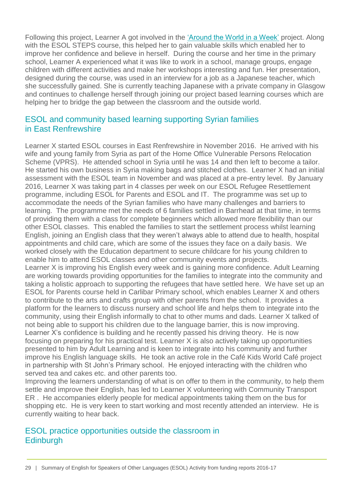Following this project, Learner A got involved in the ['Around the World in a Week'](https://education.gov.scot/improvement/practice-exemplars/cld31-project-based-learning-around-the-world-in-a-week) project. Along with the ESOL STEPS course, this helped her to gain valuable skills which enabled her to improve her confidence and believe in herself. During the course and her time in the primary school, Learner A experienced what it was like to work in a school, manage groups, engage children with different activities and make her workshops interesting and fun. Her presentation, designed during the course, was used in an interview for a job as a Japanese teacher, which she successfully gained. She is currently teaching Japanese with a private company in Glasgow and continues to challenge herself through joining our project based learning courses which are helping her to bridge the gap between the classroom and the outside world.

#### <span id="page-28-0"></span>ESOL and community based learning supporting Syrian families in East Renfrewshire

Learner X started ESOL courses in East Renfrewshire in November 2016. He arrived with his wife and young family from Syria as part of the Home Office Vulnerable Persons Relocation Scheme (VPRS). He attended school in Syria until he was 14 and then left to become a tailor. He started his own business in Syria making bags and stitched clothes. Learner X had an initial assessment with the ESOL team in November and was placed at a pre-entry level. By January 2016, Learner X was taking part in 4 classes per week on our ESOL Refugee Resettlement programme, including ESOL for Parents and ESOL and IT. The programme was set up to accommodate the needs of the Syrian families who have many challenges and barriers to learning. The programme met the needs of 6 families settled in Barrhead at that time, in terms of providing them with a class for complete beginners which allowed more flexibility than our other ESOL classes. This enabled the families to start the settlement process whilst learning English, joining an English class that they weren't always able to attend due to health, hospital appointments and child care, which are some of the issues they face on a daily basis. We worked closely with the Education department to secure childcare for his young children to enable him to attend ESOL classes and other community events and projects. Learner X is improving his English every week and is gaining more confidence. Adult Learning are working towards providing opportunities for the families to integrate into the community and taking a holistic approach to supporting the refugees that have settled here. We have set up an ESOL for Parents course held in Carlibar Primary school, which enables Learner X and others to contribute to the arts and crafts group with other parents from the school. It provides a platform for the learners to discuss nursery and school life and helps them to integrate into the community, using their English informally to chat to other mums and dads. Learner X talked of not being able to support his children due to the language barrier, this is now improving. Learner X's confidence is building and he recently passed his driving theory. He is now focusing on preparing for his practical test. Learner X is also actively taking up opportunities presented to him by Adult Learning and is keen to integrate into his community and further improve his English language skills. He took an active role in the Café Kids World Café project in partnership with St John's Primary school. He enjoyed interacting with the children who served tea and cakes etc. and other parents too.

Improving the learners understanding of what is on offer to them in the community, to help them settle and improve their English, has led to Learner X volunteering with Community Transport ER . He accompanies elderly people for medical appointments taking them on the bus for shopping etc. He is very keen to start working and most recently attended an interview. He is currently waiting to hear back.

## <span id="page-28-1"></span>ESOL practice opportunities outside the classroom in **Edinburgh**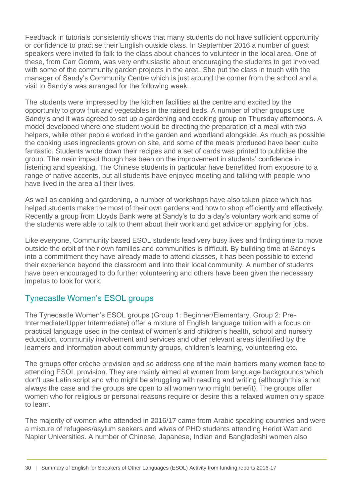Feedback in tutorials consistently shows that many students do not have sufficient opportunity or confidence to practise their English outside class. In September 2016 a number of guest speakers were invited to talk to the class about chances to volunteer in the local area. One of these, from Carr Gomm, was very enthusiastic about encouraging the students to get involved with some of the community garden projects in the area. She put the class in touch with the manager of Sandy's Community Centre which is just around the corner from the school and a visit to Sandy's was arranged for the following week.

The students were impressed by the kitchen facilities at the centre and excited by the opportunity to grow fruit and vegetables in the raised beds. A number of other groups use Sandy's and it was agreed to set up a gardening and cooking group on Thursday afternoons. A model developed where one student would be directing the preparation of a meal with two helpers, while other people worked in the garden and woodland alongside. As much as possible the cooking uses ingredients grown on site, and some of the meals produced have been quite fantastic. Students wrote down their recipes and a set of cards was printed to publicise the group. The main impact though has been on the improvement in students' confidence in listening and speaking. The Chinese students in particular have benefitted from exposure to a range of native accents, but all students have enjoyed meeting and talking with people who have lived in the area all their lives.

As well as cooking and gardening, a number of workshops have also taken place which has helped students make the most of their own gardens and how to shop efficiently and effectively. Recently a group from Lloyds Bank were at Sandy's to do a day's voluntary work and some of the students were able to talk to them about their work and get advice on applying for jobs.

Like everyone, Community based ESOL students lead very busy lives and finding time to move outside the orbit of their own families and communities is difficult. By building time at Sandy's into a commitment they have already made to attend classes, it has been possible to extend their experience beyond the classroom and into their local community. A number of students have been encouraged to do further volunteering and others have been given the necessary impetus to look for work.

## <span id="page-29-0"></span>Tynecastle Women's ESOL groups

The Tynecastle Women's ESOL groups (Group 1: Beginner/Elementary, Group 2: Pre-Intermediate/Upper Intermediate) offer a mixture of English language tuition with a focus on practical language used in the context of women's and children's health, school and nursery education, community involvement and services and other relevant areas identified by the learners and information about community groups, children's learning, volunteering etc.

The groups offer crèche provision and so address one of the main barriers many women face to attending ESOL provision. They are mainly aimed at women from language backgrounds which don't use Latin script and who might be struggling with reading and writing (although this is not always the case and the groups are open to all women who might benefit). The groups offer women who for religious or personal reasons require or desire this a relaxed women only space to learn.

The majority of women who attended in 2016/17 came from Arabic speaking countries and were a mixture of refugees/asylum seekers and wives of PHD students attending Heriot Watt and Napier Universities. A number of Chinese, Japanese, Indian and Bangladeshi women also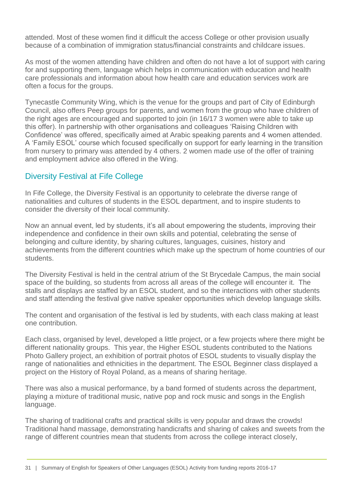attended. Most of these women find it difficult the access College or other provision usually because of a combination of immigration status/financial constraints and childcare issues.

As most of the women attending have children and often do not have a lot of support with caring for and supporting them, language which helps in communication with education and health care professionals and information about how health care and education services work are often a focus for the groups.

Tynecastle Community Wing, which is the venue for the groups and part of City of Edinburgh Council, also offers Peep groups for parents, and women from the group who have children of the right ages are encouraged and supported to join (in 16/17 3 women were able to take up this offer). In partnership with other organisations and colleagues 'Raising Children with Confidence' was offered, specifically aimed at Arabic speaking parents and 4 women attended. A 'Family ESOL' course which focused specifically on support for early learning in the transition from nursery to primary was attended by 4 others. 2 women made use of the offer of training and employment advice also offered in the Wing.

## <span id="page-30-0"></span>Diversity Festival at Fife College

In Fife College, the Diversity Festival is an opportunity to celebrate the diverse range of nationalities and cultures of students in the ESOL department, and to inspire students to consider the diversity of their local community.

Now an annual event, led by students, it's all about empowering the students, improving their independence and confidence in their own skills and potential, celebrating the sense of belonging and culture identity, by sharing cultures, languages, cuisines, history and achievements from the different countries which make up the spectrum of home countries of our students.

The Diversity Festival is held in the central atrium of the St Brycedale Campus, the main social space of the building, so students from across all areas of the college will encounter it. The stalls and displays are staffed by an ESOL student, and so the interactions with other students and staff attending the festival give native speaker opportunities which develop language skills.

The content and organisation of the festival is led by students, with each class making at least one contribution.

Each class, organised by level, developed a little project, or a few projects where there might be different nationality groups. This year, the Higher ESOL students contributed to the Nations Photo Gallery project, an exhibition of portrait photos of ESOL students to visually display the range of nationalities and ethnicities in the department. The ESOL Beginner class displayed a project on the History of Royal Poland, as a means of sharing heritage.

There was also a musical performance, by a band formed of students across the department, playing a mixture of traditional music, native pop and rock music and songs in the English language.

The sharing of traditional crafts and practical skills is very popular and draws the crowds! Traditional hand massage, demonstrating handicrafts and sharing of cakes and sweets from the range of different countries mean that students from across the college interact closely,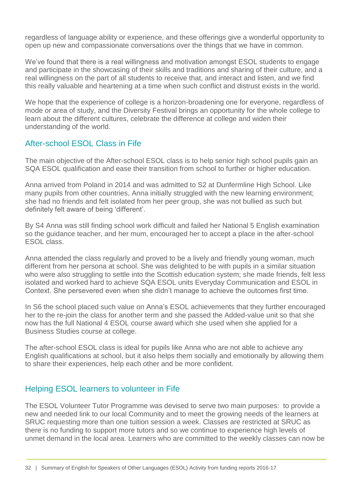regardless of language ability or experience, and these offerings give a wonderful opportunity to open up new and compassionate conversations over the things that we have in common.

We've found that there is a real willingness and motivation amongst ESOL students to engage and participate in the showcasing of their skills and traditions and sharing of their culture, and a real willingness on the part of all students to receive that, and interact and listen, and we find this really valuable and heartening at a time when such conflict and distrust exists in the world.

We hope that the experience of college is a horizon-broadening one for everyone, regardless of mode or area of study, and the Diversity Festival brings an opportunity for the whole college to learn about the different cultures, celebrate the difference at college and widen their understanding of the world.

# <span id="page-31-0"></span>After-school ESOL Class in Fife

The main objective of the After-school ESOL class is to help senior high school pupils gain an SQA ESOL qualification and ease their transition from school to further or higher education.

Anna arrived from Poland in 2014 and was admitted to S2 at Dunfermline High School. Like many pupils from other countries, Anna initially struggled with the new learning environment; she had no friends and felt isolated from her peer group, she was not bullied as such but definitely felt aware of being 'different'.

By S4 Anna was still finding school work difficult and failed her National 5 English examination so the guidance teacher, and her mum, encouraged her to accept a place in the after-school ESOL class.

Anna attended the class regularly and proved to be a lively and friendly young woman, much different from her persona at school. She was delighted to be with pupils in a similar situation who were also struggling to settle into the Scottish education system; she made friends, felt less isolated and worked hard to achieve SQA ESOL units Everyday Communication and ESOL in Context. She persevered even when she didn't manage to achieve the outcomes first time.

In S6 the school placed such value on Anna's ESOL achievements that they further encouraged her to the re-join the class for another term and she passed the Added-value unit so that she now has the full National 4 ESOL course award which she used when she applied for a Business Studies course at college.

The after-school ESOL class is ideal for pupils like Anna who are not able to achieve any English qualifications at school, but it also helps them socially and emotionally by allowing them to share their experiences, help each other and be more confident.

## <span id="page-31-1"></span>Helping ESOL learners to volunteer in Fife

The ESOL Volunteer Tutor Programme was devised to serve two main purposes: to provide a new and needed link to our local Community and to meet the growing needs of the learners at SRUC requesting more than one tuition session a week. Classes are restricted at SRUC as there is no funding to support more tutors and so we continue to experience high levels of unmet demand in the local area. Learners who are committed to the weekly classes can now be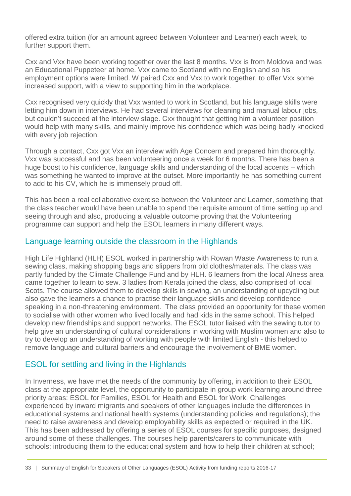offered extra tuition (for an amount agreed between Volunteer and Learner) each week, to further support them.

Cxx and Vxx have been working together over the last 8 months. Vxx is from Moldova and was an Educational Puppeteer at home. Vxx came to Scotland with no English and so his employment options were limited. W paired Cxx and Vxx to work together, to offer Vxx some increased support, with a view to supporting him in the workplace.

Cxx recognised very quickly that Vxx wanted to work in Scotland, but his language skills were letting him down in interviews. He had several interviews for cleaning and manual labour jobs, but couldn't succeed at the interview stage. Cxx thought that getting him a volunteer position would help with many skills, and mainly improve his confidence which was being badly knocked with every job rejection.

Through a contact, Cxx got Vxx an interview with Age Concern and prepared him thoroughly. Vxx was successful and has been volunteering once a week for 6 months. There has been a huge boost to his confidence, language skills and understanding of the local accents – which was something he wanted to improve at the outset. More importantly he has something current to add to his CV, which he is immensely proud off.

This has been a real collaborative exercise between the Volunteer and Learner, something that the class teacher would have been unable to spend the requisite amount of time setting up and seeing through and also, producing a valuable outcome proving that the Volunteering programme can support and help the ESOL learners in many different ways.

#### <span id="page-32-0"></span>Language learning outside the classroom in the Highlands

High Life Highland (HLH) ESOL worked in partnership with Rowan Waste Awareness to run a sewing class, making shopping bags and slippers from old clothes/materials. The class was partly funded by the Climate Challenge Fund and by HLH. 6 learners from the local Alness area came together to learn to sew. 3 ladies from Kerala joined the class, also comprised of local Scots. The course allowed them to develop skills in sewing, an understanding of upcycling but also gave the learners a chance to practise their language skills and develop confidence speaking in a non-threatening environment. The class provided an opportunity for these women to socialise with other women who lived locally and had kids in the same school. This helped develop new friendships and support networks. The ESOL tutor liaised with the sewing tutor to help give an understanding of cultural considerations in working with Muslim women and also to try to develop an understanding of working with people with limited English - this helped to remove language and cultural barriers and encourage the involvement of BME women.

## <span id="page-32-1"></span>ESOL for settling and living in the Highlands

In Inverness, we have met the needs of the community by offering, in addition to their ESOL class at the appropriate level, the opportunity to participate in group work learning around three priority areas: ESOL for Families, ESOL for Health and ESOL for Work. Challenges experienced by inward migrants and speakers of other languages include the differences in educational systems and national health systems (understanding policies and regulations); the need to raise awareness and develop employability skills as expected or required in the UK. This has been addressed by offering a series of ESOL courses for specific purposes, designed around some of these challenges. The courses help parents/carers to communicate with schools; introducing them to the educational system and how to help their children at school;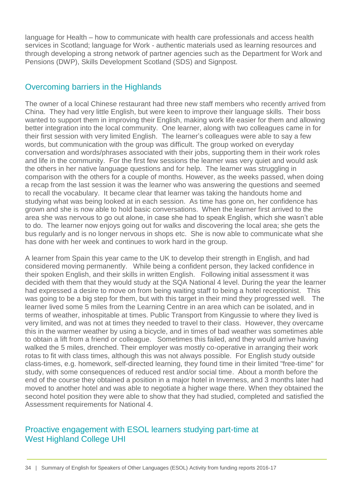language for Health – how to communicate with health care professionals and access health services in Scotland; language for Work - authentic materials used as learning resources and through developing a strong network of partner agencies such as the Department for Work and Pensions (DWP), Skills Development Scotland (SDS) and Signpost.

## <span id="page-33-0"></span>Overcoming barriers in the Highlands

The owner of a local Chinese restaurant had three new staff members who recently arrived from China. They had very little English, but were keen to improve their language skills. Their boss wanted to support them in improving their English, making work life easier for them and allowing better integration into the local community. One learner, along with two colleagues came in for their first session with very limited English. The learner's colleagues were able to say a few words, but communication with the group was difficult. The group worked on everyday conversation and words/phrases associated with their jobs, supporting them in their work roles and life in the community. For the first few sessions the learner was very quiet and would ask the others in her native language questions and for help. The learner was struggling in comparison with the others for a couple of months. However, as the weeks passed, when doing a recap from the last session it was the learner who was answering the questions and seemed to recall the vocabulary. It became clear that learner was taking the handouts home and studying what was being looked at in each session. As time has gone on, her confidence has grown and she is now able to hold basic conversations. When the learner first arrived to the area she was nervous to go out alone, in case she had to speak English, which she wasn't able to do. The learner now enjoys going out for walks and discovering the local area; she gets the bus regularly and is no longer nervous in shops etc. She is now able to communicate what she has done with her week and continues to work hard in the group.

A learner from Spain this year came to the UK to develop their strength in English, and had considered moving permanently. While being a confident person, they lacked confidence in their spoken English, and their skills in written English. Following initial assessment it was decided with them that they would study at the SQA National 4 level. During the year the learner had expressed a desire to move on from being waiting staff to being a hotel receptionist. This was going to be a big step for them, but with this target in their mind they progressed well. The learner lived some 5 miles from the Learning Centre in an area which can be isolated, and in terms of weather, inhospitable at times. Public Transport from Kingussie to where they lived is very limited, and was not at times they needed to travel to their class. However, they overcame this in the warmer weather by using a bicycle, and in times of bad weather was sometimes able to obtain a lift from a friend or colleague. Sometimes this failed, and they would arrive having walked the 5 miles, drenched. Their employer was mostly co-operative in arranging their work rotas to fit with class times, although this was not always possible. For English study outside class-times, e.g. homework, self-directed learning, they found time in their limited "free-time" for study, with some consequences of reduced rest and/or social time. About a month before the end of the course they obtained a position in a major hotel in Inverness, and 3 months later had moved to another hotel and was able to negotiate a higher wage there. When they obtained the second hotel position they were able to show that they had studied, completed and satisfied the Assessment requirements for National 4.

#### <span id="page-33-1"></span>Proactive engagement with ESOL learners studying part-time at West Highland College UHI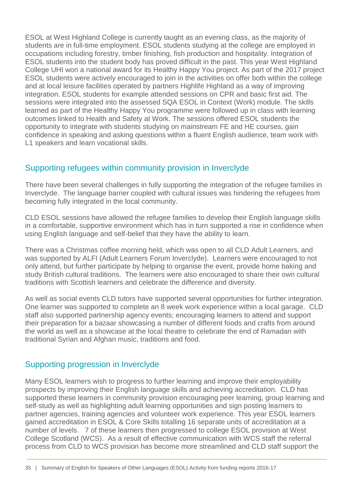ESOL at West Highland College is currently taught as an evening class, as the majority of students are in full-time employment. ESOL students studying at the college are employed in occupations including forestry, timber finishing, fish production and hospitality. Integration of ESOL students into the student body has proved difficult in the past. This year West Highland College UHI won a national award for its Healthy Happy You project. As part of the 2017 project ESOL students were actively encouraged to join in the activities on offer both within the college and at local leisure facilities operated by partners Highlife Highland as a way of improving integration. ESOL students for example attended sessions on CPR and basic first aid. The sessions were integrated into the assessed SQA ESOL in Context (Work) module. The skills learned as part of the Healthy Happy You programme were followed up in class with learning outcomes linked to Health and Safety at Work. The sessions offered ESOL students the opportunity to integrate with students studying on mainstream FE and HE courses, gain confidence in speaking and asking questions within a fluent English audience, team work with L1 speakers and learn vocational skills.

# <span id="page-34-0"></span>Supporting refugees within community provision in Inverclyde

There have been several challenges in fully supporting the integration of the refugee families in Inverclyde. The language barrier coupled with cultural issues was hindering the refugees from becoming fully integrated in the local community.

CLD ESOL sessions have allowed the refugee families to develop their English language skills in a comfortable, supportive environment which has in turn supported a rise in confidence when using English language and self-belief that they have the ability to learn.

There was a Christmas coffee morning held, which was open to all CLD Adult Learners, and was supported by ALFI (Adult Learners Forum Inverclyde). Learners were encouraged to not only attend, but further participate by helping to organise the event, provide home baking and study British cultural traditions. The learners were also encouraged to share their own cultural traditions with Scottish learners and celebrate the difference and diversity.

As well as social events CLD tutors have supported several opportunities for further integration. One learner was supported to complete an 8 week work experience within a local garage. CLD staff also supported partnership agency events; encouraging learners to attend and support their preparation for a bazaar showcasing a number of different foods and crafts from around the world as well as a showcase at the local theatre to celebrate the end of Ramadan with traditional Syrian and Afghan music, traditions and food.

## <span id="page-34-1"></span>Supporting progression in Inverclyde

Many ESOL learners wish to progress to further learning and improve their employability prospects by improving their English language skills and achieving accreditation. CLD has supported these learners in community provision encouraging peer learning, group learning and self-study as well as highlighting adult learning opportunities and sign posting learners to partner agencies, training agencies and volunteer work experience. This year ESOL learners gained accreditation in ESOL & Core Skills totalling 16 separate units of accreditation at a number of levels. 7 of these learners then progressed to college ESOL provision at West College Scotland (WCS). As a result of effective communication with WCS staff the referral process from CLD to WCS provision has become more streamlined and CLD staff support the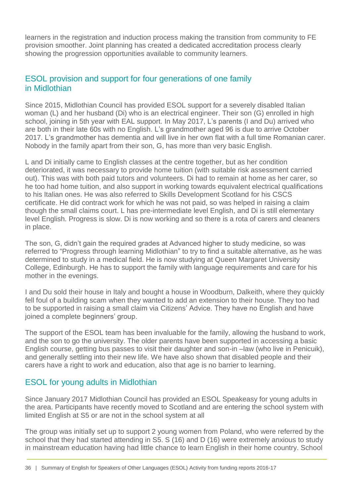learners in the registration and induction process making the transition from community to FE provision smoother. Joint planning has created a dedicated accreditation process clearly showing the progression opportunities available to community learners.

## <span id="page-35-0"></span>ESOL provision and support for four generations of one family in Midlothian

Since 2015, Midlothian Council has provided ESOL support for a severely disabled Italian woman (L) and her husband (Di) who is an electrical engineer. Their son (G) enrolled in high school, joining in 5th year with EAL support. In May 2017, L's parents (I and Du) arrived who are both in their late 60s with no English. L's grandmother aged 96 is due to arrive October 2017. L's grandmother has dementia and will live in her own flat with a full time Romanian carer. Nobody in the family apart from their son, G, has more than very basic English.

L and Di initially came to English classes at the centre together, but as her condition deteriorated, it was necessary to provide home tuition (with suitable risk assessment carried out). This was with both paid tutors and volunteers. Di had to remain at home as her carer, so he too had home tuition, and also support in working towards equivalent electrical qualifications to his Italian ones. He was also referred to Skills Development Scotland for his CSCS certificate. He did contract work for which he was not paid, so was helped in raising a claim though the small claims court. L has pre-intermediate level English, and Di is still elementary level English. Progress is slow. Di is now working and so there is a rota of carers and cleaners in place.

The son, G, didn't gain the required grades at Advanced higher to study medicine, so was referred to "Progress through learning Midlothian" to try to find a suitable alternative, as he was determined to study in a medical field. He is now studying at Queen Margaret University College, Edinburgh. He has to support the family with language requirements and care for his mother in the evenings.

I and Du sold their house in Italy and bought a house in Woodburn, Dalkeith, where they quickly fell foul of a building scam when they wanted to add an extension to their house. They too had to be supported in raising a small claim via Citizens' Advice. They have no English and have joined a complete beginners' group.

The support of the ESOL team has been invaluable for the family, allowing the husband to work, and the son to go the university. The older parents have been supported in accessing a basic English course, getting bus passes to visit their daughter and son-in –law (who live in Penicuik), and generally settling into their new life. We have also shown that disabled people and their carers have a right to work and education, also that age is no barrier to learning.

## <span id="page-35-1"></span>ESOL for young adults in Midlothian

Since January 2017 Midlothian Council has provided an ESOL Speakeasy for young adults in the area. Participants have recently moved to Scotland and are entering the school system with limited English at S5 or are not in the school system at all

The group was initially set up to support 2 young women from Poland, who were referred by the school that they had started attending in S5. S (16) and D (16) were extremely anxious to study in mainstream education having had little chance to learn English in their home country. School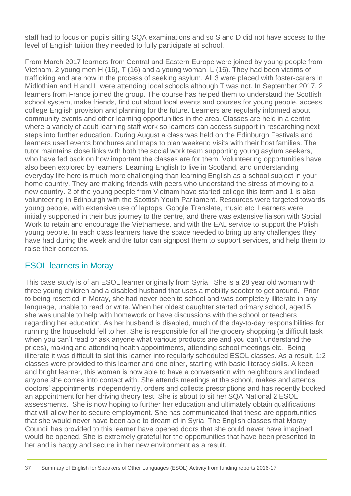staff had to focus on pupils sitting SQA examinations and so S and D did not have access to the level of English tuition they needed to fully participate at school.

From March 2017 learners from Central and Eastern Europe were joined by young people from Vietnam, 2 young men H (16), T (16) and a young woman, L (16). They had been victims of trafficking and are now in the process of seeking asylum. All 3 were placed with foster-carers in Midlothian and H and L were attending local schools although T was not. In September 2017, 2 learners from France joined the group. The course has helped them to understand the Scottish school system, make friends, find out about local events and courses for young people, access college English provision and planning for the future. Learners are regularly informed about community events and other learning opportunities in the area. Classes are held in a centre where a variety of adult learning staff work so learners can access support in researching next steps into further education. During August a class was held on the Edinburgh Festivals and learners used events brochures and maps to plan weekend visits with their host families. The tutor maintains close links with both the social work team supporting young asylum seekers, who have fed back on how important the classes are for them. Volunteering opportunities have also been explored by learners. Learning English to live in Scotland, and understanding everyday life here is much more challenging than learning English as a school subject in your home country. They are making friends with peers who understand the stress of moving to a new country. 2 of the young people from Vietnam have started college this term and 1 is also volunteering in Edinburgh with the Scottish Youth Parliament. Resources were targeted towards young people, with extensive use of laptops, Google Translate, music etc. Learners were initially supported in their bus journey to the centre, and there was extensive liaison with Social Work to retain and encourage the Vietnamese, and with the EAL service to support the Polish young people. In each class learners have the space needed to bring up any challenges they have had during the week and the tutor can signpost them to support services, and help them to raise their concerns.

# <span id="page-36-0"></span>ESOL learners in Moray

This case study is of an ESOL learner originally from Syria. She is a 28 year old woman with three young children and a disabled husband that uses a mobility scooter to get around. Prior to being resettled in Moray, she had never been to school and was completely illiterate in any language, unable to read or write. When her oldest daughter started primary school, aged 5, she was unable to help with homework or have discussions with the school or teachers regarding her education. As her husband is disabled, much of the day-to-day responsibilities for running the household fell to her. She is responsible for all the grocery shopping (a difficult task when you can't read or ask anyone what various products are and you can't understand the prices), making and attending health appointments, attending school meetings etc. Being illiterate it was difficult to slot this learner into regularly scheduled ESOL classes. As a result, 1:2 classes were provided to this learner and one other, starting with basic literacy skills. A keen and bright learner, this woman is now able to have a conversation with neighbours and indeed anyone she comes into contact with. She attends meetings at the school, makes and attends doctors' appointments independently, orders and collects prescriptions and has recently booked an appointment for her driving theory test. She is about to sit her SQA National 2 ESOL assessments. She is now hoping to further her education and ultimately obtain qualifications that will allow her to secure employment. She has communicated that these are opportunities that she would never have been able to dream of in Syria. The English classes that Moray Council has provided to this learner have opened doors that she could never have imagined would be opened. She is extremely grateful for the opportunities that have been presented to her and is happy and secure in her new environment as a result*.*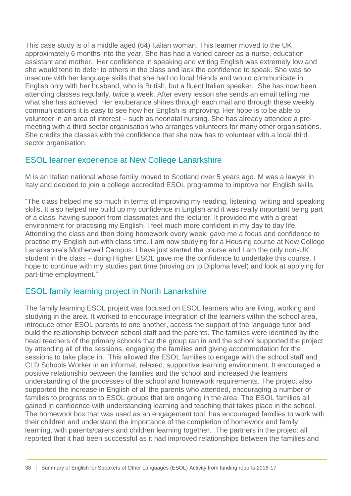This case study is of a middle aged (64) Italian woman. This learner moved to the UK approximately 6 months into the year. She has had a varied career as a nurse, education assistant and mother. Her confidence in speaking and writing English was extremely low and she would tend to defer to others in the class and lack the confidence to speak. She was so insecure with her language skills that she had no local friends and would communicate in English only with her husband, who is British, but a fluent Italian speaker. She has now been attending classes regularly, twice a week. After every lesson she sends an email telling me what she has achieved. Her exuberance shines through each mail and through these weekly communications it is easy to see how her English is improving. Her hope is to be able to volunteer in an area of interest – such as neonatal nursing. She has already attended a premeeting with a third sector organisation who arranges volunteers for many other organisations. She credits the classes with the confidence that she now has to volunteer with a local third sector organisation.

## <span id="page-37-0"></span>ESOL learner experience at New College Lanarkshire

M is an Italian national whose family moved to Scotland over 5 years ago. M was a lawyer in Italy and decided to join a college accredited ESOL programme to improve her English skills.

"The class helped me so much in terms of improving my reading, listening, writing and speaking skills. It also helped me build up my confidence in English and it was really important being part of a class, having support from classmates and the lecturer. It provided me with a great environment for practising my English. I feel much more confident in my day to day life. Attending the class and then doing homework every week, gave me a focus and confidence to practise my English out-with class time. I am now studying for a Housing course at New College Lanarkshire's Motherwell Campus. I have just started the course and I am the only non-UK student in the class – doing Higher ESOL gave me the confidence to undertake this course. I hope to continue with my studies part time (moving on to Diploma level) and look at applying for part-time employment."

# <span id="page-37-1"></span>ESOL family learning project in North Lanarkshire

The family learning ESOL project was focused on ESOL learners who are living, working and studying in the area. It worked to encourage integration of the learners within the school area, introduce other ESOL parents to one another, access the support of the language tutor and build the relationship between school staff and the parents. The families were identified by the head teachers of the primary schools that the group ran in and the school supported the project by attending all of the sessions, engaging the families and giving accommodation for the sessions to take place in. This allowed the ESOL families to engage with the school staff and CLD Schools Worker in an informal, relaxed, supportive learning environment. It encouraged a positive relationship between the families and the school and increased the learners understanding of the processes of the school and homework requirements. The project also supported the increase in English of all the parents who attended, encouraging a number of families to progress on to ESOL groups that are ongoing in the area. The ESOL families all gained in confidence with understanding learning and teaching that takes place in the school. The homework box that was used as an engagement tool, has encouraged families to work with their children and understand the importance of the completion of homework and family learning, with parents/carers and children learning together. The partners in the project all reported that it had been successful as it had improved relationships between the families and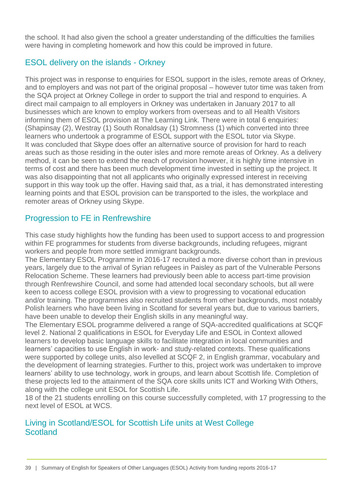the school. It had also given the school a greater understanding of the difficulties the families were having in completing homework and how this could be improved in future.

# <span id="page-38-0"></span>ESOL delivery on the islands - Orkney

This project was in response to enquiries for ESOL support in the isles, remote areas of Orkney, and to employers and was not part of the original proposal – however tutor time was taken from the SQA project at Orkney College in order to support the trial and respond to enquiries. A direct mail campaign to all employers in Orkney was undertaken in January 2017 to all businesses which are known to employ workers from overseas and to all Health Visitors informing them of ESOL provision at The Learning Link. There were in total 6 enquiries: (Shapinsay (2), Westray (1) South Ronaldsay (1) Stromness (1) which converted into three learners who undertook a programme of ESOL support with the ESOL tutor via Skype. It was concluded that Skype does offer an alternative source of provision for hard to reach areas such as those residing in the outer isles and more remote areas of Orkney. As a delivery method, it can be seen to extend the reach of provision however, it is highly time intensive in terms of cost and there has been much development time invested in setting up the project. It was also disappointing that not all applicants who originally expressed interest in receiving support in this way took up the offer. Having said that, as a trial, it has demonstrated interesting learning points and that ESOL provision can be transported to the isles, the workplace and remoter areas of Orkney using Skype.

# <span id="page-38-1"></span>Progression to FE in Renfrewshire

This case study highlights how the funding has been used to support access to and progression within FE programmes for students from diverse backgrounds, including refugees, migrant workers and people from more settled immigrant backgrounds.

The Elementary ESOL Programme in 2016-17 recruited a more diverse cohort than in previous years, largely due to the arrival of Syrian refugees in Paisley as part of the Vulnerable Persons Relocation Scheme. These learners had previously been able to access part-time provision through Renfrewshire Council, and some had attended local secondary schools, but all were keen to access college ESOL provision with a view to progressing to vocational education and/or training. The programmes also recruited students from other backgrounds, most notably Polish learners who have been living in Scotland for several years but, due to various barriers, have been unable to develop their English skills in any meaningful way.

The Elementary ESOL programme delivered a range of SQA-accredited qualifications at SCQF level 2. National 2 qualifications in ESOL for Everyday Life and ESOL in Context allowed learners to develop basic language skills to facilitate integration in local communities and learners' capacities to use English in work- and study-related contexts. These qualifications were supported by college units, also levelled at SCQF 2, in English grammar, vocabulary and the development of learning strategies. Further to this, project work was undertaken to improve learners' ability to use technology, work in groups, and learn about Scottish life. Completion of these projects led to the attainment of the SQA core skills units ICT and Working With Others, along with the college unit ESOL for Scottish Life.

18 of the 21 students enrolling on this course successfully completed, with 17 progressing to the next level of ESOL at WCS.

#### <span id="page-38-2"></span>Living in Scotland/ESOL for Scottish Life units at West College **Scotland**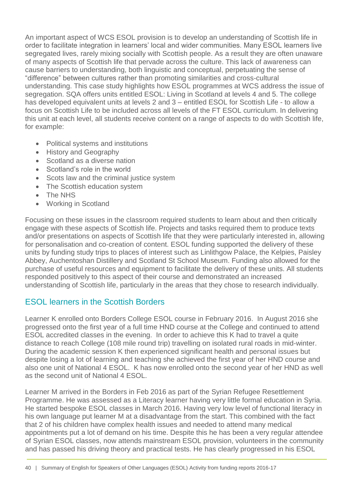An important aspect of WCS ESOL provision is to develop an understanding of Scottish life in order to facilitate integration in learners' local and wider communities. Many ESOL learners live segregated lives, rarely mixing socially with Scottish people. As a result they are often unaware of many aspects of Scottish life that pervade across the culture. This lack of awareness can cause barriers to understanding, both linguistic and conceptual, perpetuating the sense of "difference" between cultures rather than promoting similarities and cross-cultural understanding. This case study highlights how ESOL programmes at WCS address the issue of segregation. SQA offers units entitled ESOL: Living in Scotland at levels 4 and 5. The college has developed equivalent units at levels 2 and 3 – entitled ESOL for Scottish Life - to allow a focus on Scottish Life to be included across all levels of the FT ESOL curriculum. In delivering this unit at each level, all students receive content on a range of aspects to do with Scottish life, for example:

- Political systems and institutions
- History and Geography
- Scotland as a diverse nation
- Scotland's role in the world
- Scots law and the criminal justice system
- The Scottish education system
- The NHS
- Working in Scotland

Focusing on these issues in the classroom required students to learn about and then critically engage with these aspects of Scottish life. Projects and tasks required them to produce texts and/or presentations on aspects of Scottish life that they were particularly interested in, allowing for personalisation and co-creation of content. ESOL funding supported the delivery of these units by funding study trips to places of interest such as Linlithgow Palace, the Kelpies, Paisley Abbey, Auchentoshan Distillery and Scotland St School Museum. Funding also allowed for the purchase of useful resources and equipment to facilitate the delivery of these units. All students responded positively to this aspect of their course and demonstrated an increased understanding of Scottish life, particularly in the areas that they chose to research individually.

# <span id="page-39-0"></span>ESOL learners in the Scottish Borders

Learner K enrolled onto Borders College ESOL course in February 2016. In August 2016 she progressed onto the first year of a full time HND course at the College and continued to attend ESOL accredited classes in the evening. In order to achieve this K had to travel a quite distance to reach College (108 mile round trip) travelling on isolated rural roads in mid-winter. During the academic session K then experienced significant health and personal issues but despite losing a lot of learning and teaching she achieved the first year of her HND course and also one unit of National 4 ESOL. K has now enrolled onto the second year of her HND as well as the second unit of National 4 ESOL.

Learner M arrived in the Borders in Feb 2016 as part of the Syrian Refugee Resettlement Programme. He was assessed as a Literacy learner having very little formal education in Syria. He started bespoke ESOL classes in March 2016. Having very low level of functional literacy in his own language put learner M at a disadvantage from the start. This combined with the fact that 2 of his children have complex health issues and needed to attend many medical appointments put a lot of demand on his time. Despite this he has been a very regular attendee of Syrian ESOL classes, now attends mainstream ESOL provision, volunteers in the community and has passed his driving theory and practical tests. He has clearly progressed in his ESOL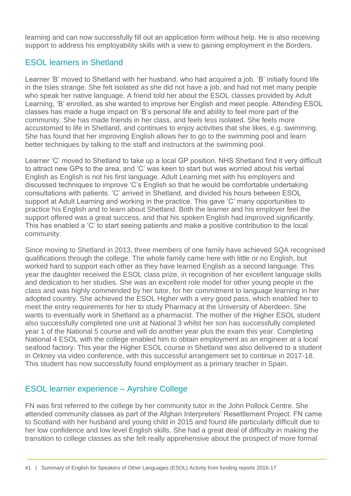learning and can now successfully fill out an application form without help. He is also receiving support to address his employability skills with a view to gaining employment in the Borders.

# <span id="page-40-0"></span>ESOL learners in Shetland

Learner 'B' moved to Shetland with her husband, who had acquired a job. 'B' initially found life in the Isles strange. She felt isolated as she did not have a job, and had not met many people who speak her native language. A friend told her about the ESOL classes provided by Adult Learning, 'B' enrolled, as she wanted to improve her English and meet people. Attending ESOL classes has made a huge impact on 'B's personal life and ability to feel more part of the community. She has made friends in her class, and feels less isolated. She feels more accustomed to life in Shetland, and continues to enjoy activities that she likes, e.g. swimming. She has found that her improving English allows her to go to the swimming pool and learn better techniques by talking to the staff and instructors at the swimming pool.

Learner 'C' moved to Shetland to take up a local GP position. NHS Shetland find it very difficult to attract new GPs to the area, and 'C' was keen to start but was worried about his verbal English as English is not his first language. Adult Learning met with his employers and discussed techniques to improve 'C's English so that he would be comfortable undertaking consultations with patients. 'C' arrived in Shetland, and divided his hours between ESOL support at Adult Learning and working in the practice. This gave 'C' many opportunities to practice his English and to learn about Shetland. Both the learner and his employer feel the support offered was a great success, and that his spoken English had improved significantly. This has enabled a 'C' to start seeing patients and make a positive contribution to the local community.

Since moving to Shetland in 2013, three members of one family have achieved SQA recognised qualifications through the college. The whole family came here with little or no English, but worked hard to support each other as they have learned English as a second language. This year the daughter received the ESOL class prize, in recognition of her excellent language skills and dedication to her studies. She was an excellent role model for other young people in the class and was highly commended by her tutor, for her commitment to language learning in her adopted country. She achieved the ESOL Higher with a very good pass, which enabled her to meet the entry requirements for her to study Pharmacy at the University of Aberdeen. She wants to eventually work in Shetland as a pharmacist. The mother of the Higher ESOL student also successfully completed one unit at National 3 whilst her son has successfully completed year 1 of the National 5 course and will do another year plus the exam this year. Completing National 4 ESOL with the college enabled him to obtain employment as an engineer at a local seafood factory. This year the Higher ESOL course in Shetland was also delivered to a student in Orkney via video conference, with this successful arrangement set to continue in 2017-18. This student has now successfully found employment as a primary teacher in Spain.

# <span id="page-40-1"></span>ESOL learner experience – Ayrshire College

FN was first referred to the college by her community tutor in the John Pollock Centre. She attended community classes as part of the Afghan Interpreters' Resettlement Project. FN came to Scotland with her husband and young child in 2015 and found life particularly difficult due to her low confidence and low level English skills. She had a great deal of difficulty in making the transition to college classes as she felt really apprehensive about the prospect of more formal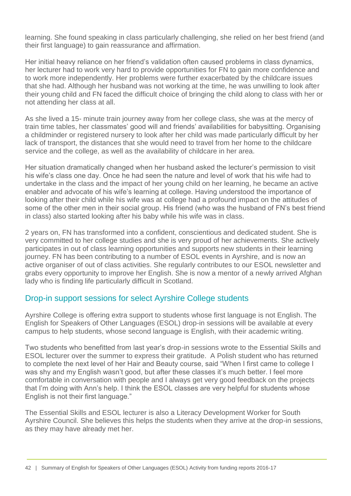learning. She found speaking in class particularly challenging, she relied on her best friend (and their first language) to gain reassurance and affirmation.

Her initial heavy reliance on her friend's validation often caused problems in class dynamics, her lecturer had to work very hard to provide opportunities for FN to gain more confidence and to work more independently. Her problems were further exacerbated by the childcare issues that she had. Although her husband was not working at the time, he was unwilling to look after their young child and FN faced the difficult choice of bringing the child along to class with her or not attending her class at all.

As she lived a 15- minute train journey away from her college class, she was at the mercy of train time tables, her classmates' good will and friends' availabilities for babysitting. Organising a childminder or registered nursery to look after her child was made particularly difficult by her lack of transport, the distances that she would need to travel from her home to the childcare service and the college, as well as the availability of childcare in her area.

Her situation dramatically changed when her husband asked the lecturer's permission to visit his wife's class one day. Once he had seen the nature and level of work that his wife had to undertake in the class and the impact of her young child on her learning, he became an active enabler and advocate of his wife's learning at college. Having understood the importance of looking after their child while his wife was at college had a profound impact on the attitudes of some of the other men in their social group. His friend (who was the husband of FN's best friend in class) also started looking after his baby while his wife was in class.

2 years on, FN has transformed into a confident, conscientious and dedicated student. She is very committed to her college studies and she is very proud of her achievements. She actively participates in out of class learning opportunities and supports new students in their learning journey. FN has been contributing to a number of ESOL events in Ayrshire, and is now an active organiser of out of class activities. She regularly contributes to our ESOL newsletter and grabs every opportunity to improve her English. She is now a mentor of a newly arrived Afghan lady who is finding life particularly difficult in Scotland.

#### <span id="page-41-0"></span>Drop-in support sessions for select Ayrshire College students

Ayrshire College is offering extra support to students whose first language is not English. The English for Speakers of Other Languages (ESOL) drop-in sessions will be available at every campus to help students, whose second language is English, with their academic writing.

Two students who benefitted from last year's drop-in sessions wrote to the Essential Skills and ESOL lecturer over the summer to express their gratitude. A Polish student who has returned to complete the next level of her Hair and Beauty course, said "When I first came to college I was shy and my English wasn't good, but after these classes it's much better. I feel more comfortable in conversation with people and I always get very good feedback on the projects that I'm doing with Ann's help. I think the ESOL classes are very helpful for students whose English is not their first language."

The Essential Skills and ESOL lecturer is also a Literacy Development Worker for South Ayrshire Council. She believes this helps the students when they arrive at the drop-in sessions, as they may have already met her.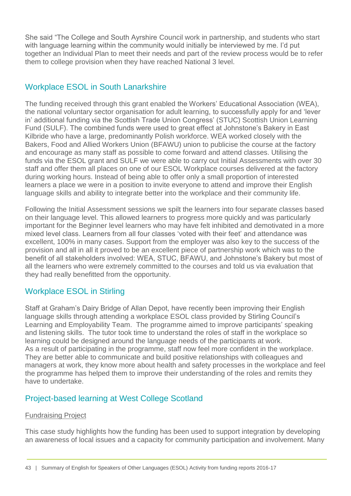She said "The College and South Ayrshire Council work in partnership, and students who start with language learning within the community would initially be interviewed by me. I'd put together an Individual Plan to meet their needs and part of the review process would be to refer them to college provision when they have reached National 3 level.

# <span id="page-42-0"></span>Workplace ESOL in South Lanarkshire

The funding received through this grant enabled the Workers' Educational Association (WEA), the national voluntary sector organisation for adult learning, to successfully apply for and 'lever in' additional funding via the Scottish Trade Union Congress' (STUC) Scottish Union Learning Fund (SULF). The combined funds were used to great effect at Johnstone's Bakery in East Kilbride who have a large, predominantly Polish workforce. WEA worked closely with the Bakers, Food and Allied Workers Union (BFAWU) union to publicise the course at the factory and encourage as many staff as possible to come forward and attend classes. Utilising the funds via the ESOL grant and SULF we were able to carry out Initial Assessments with over 30 staff and offer them all places on one of our ESOL Workplace courses delivered at the factory during working hours. Instead of being able to offer only a small proportion of interested learners a place we were in a position to invite everyone to attend and improve their English language skills and ability to integrate better into the workplace and their community life.

Following the Initial Assessment sessions we spilt the learners into four separate classes based on their language level. This allowed learners to progress more quickly and was particularly important for the Beginner level learners who may have felt inhibited and demotivated in a more mixed level class. Learners from all four classes 'voted with their feet' and attendance was excellent, 100% in many cases. Support from the employer was also key to the success of the provision and all in all it proved to be an excellent piece of partnership work which was to the benefit of all stakeholders involved: WEA, STUC, BFAWU, and Johnstone's Bakery but most of all the learners who were extremely committed to the courses and told us via evaluation that they had really benefitted from the opportunity.

## <span id="page-42-1"></span>Workplace ESOL in Stirling

Staff at Graham's Dairy Bridge of Allan Depot, have recently been improving their English language skills through attending a workplace ESOL class provided by Stirling Council's Learning and Employability Team. The programme aimed to improve participants' speaking and listening skills. The tutor took time to understand the roles of staff in the workplace so learning could be designed around the language needs of the participants at work. As a result of participating in the programme, staff now feel more confident in the workplace. They are better able to communicate and build positive relationships with colleagues and managers at work, they know more about health and safety processes in the workplace and feel the programme has helped them to improve their understanding of the roles and remits they have to undertake.

# <span id="page-42-2"></span>Project-based learning at West College Scotland

#### Fundraising Project

This case study highlights how the funding has been used to support integration by developing an awareness of local issues and a capacity for community participation and involvement. Many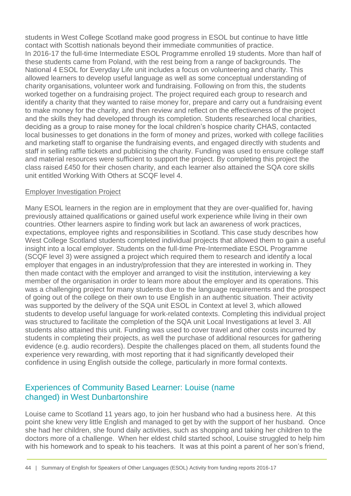students in West College Scotland make good progress in ESOL but continue to have little contact with Scottish nationals beyond their immediate communities of practice. In 2016-17 the full-time Intermediate ESOL Programme enrolled 19 students. More than half of these students came from Poland, with the rest being from a range of backgrounds. The National 4 ESOL for Everyday Life unit includes a focus on volunteering and charity. This allowed learners to develop useful language as well as some conceptual understanding of charity organisations, volunteer work and fundraising. Following on from this, the students worked together on a fundraising project. The project required each group to research and identify a charity that they wanted to raise money for, prepare and carry out a fundraising event to make money for the charity, and then review and reflect on the effectiveness of the project and the skills they had developed through its completion. Students researched local charities, deciding as a group to raise money for the local children's hospice charity CHAS, contacted local businesses to get donations in the form of money and prizes, worked with college facilities and marketing staff to organise the fundraising events, and engaged directly with students and staff in selling raffle tickets and publicising the charity. Funding was used to ensure college staff and material resources were sufficient to support the project. By completing this project the class raised £450 for their chosen charity, and each learner also attained the SQA core skills unit entitled Working With Others at SCQF level 4.

#### Employer Investigation Project

Many ESOL learners in the region are in employment that they are over-qualified for, having previously attained qualifications or gained useful work experience while living in their own countries. Other learners aspire to finding work but lack an awareness of work practices, expectations, employee rights and responsibilities in Scotland. This case study describes how West College Scotland students completed individual projects that allowed them to gain a useful insight into a local employer. Students on the full-time Pre-Intermediate ESOL Programme (SCQF level 3) were assigned a project which required them to research and identify a local employer that engages in an industry/profession that they are interested in working in. They then made contact with the employer and arranged to visit the institution, interviewing a key member of the organisation in order to learn more about the employer and its operations. This was a challenging project for many students due to the language requirements and the prospect of going out of the college on their own to use English in an authentic situation. Their activity was supported by the delivery of the SQA unit ESOL in Context at level 3, which allowed students to develop useful language for work-related contexts. Completing this individual project was structured to facilitate the completion of the SQA unit Local Investigations at level 3. All students also attained this unit. Funding was used to cover travel and other costs incurred by students in completing their projects, as well the purchase of additional resources for gathering evidence (e.g. audio recorders). Despite the challenges placed on them, all students found the experience very rewarding, with most reporting that it had significantly developed their confidence in using English outside the college, particularly in more formal contexts.

#### <span id="page-43-0"></span>Experiences of Community Based Learner: Louise (name changed) in West Dunbartonshire

Louise came to Scotland 11 years ago, to join her husband who had a business here. At this point she knew very little English and managed to get by with the support of her husband. Once she had her children, she found daily activities, such as shopping and taking her children to the doctors more of a challenge. When her eldest child started school, Louise struggled to help him with his homework and to speak to his teachers. It was at this point a parent of her son's friend,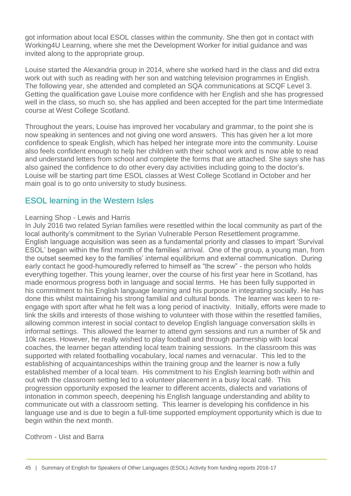got information about local ESOL classes within the community. She then got in contact with Working4U Learning, where she met the Development Worker for initial guidance and was invited along to the appropriate group.

Louise started the Alexandria group in 2014, where she worked hard in the class and did extra work out with such as reading with her son and watching television programmes in English. The following year, she attended and completed an SQA communications at SCQF Level 3. Getting the qualification gave Louise more confidence with her English and she has progressed well in the class, so much so, she has applied and been accepted for the part time Intermediate course at West College Scotland.

Throughout the years, Louise has improved her vocabulary and grammar, to the point she is now speaking in sentences and not giving one word answers. This has given her a lot more confidence to speak English, which has helped her integrate more into the community. Louise also feels confident enough to help her children with their school work and is now able to read and understand letters from school and complete the forms that are attached. She says she has also gained the confidence to do other every day activities including going to the doctor's. Louise will be starting part time ESOL classes at West College Scotland in October and her main goal is to go onto university to study business.

#### <span id="page-44-0"></span>ESOL learning in the Western Isles

#### Learning Shop - Lewis and Harris

In July 2016 two related Syrian families were resettled within the local community as part of the local authority's commitment to the Syrian Vulnerable Person Resettlement programme. English language acquisition was seen as a fundamental priority and classes to impart 'Survival ESOL' began within the first month of the families' arrival. One of the group, a young man, from the outset seemed key to the families' internal equilibrium and external communication. During early contact he good-humouredly referred to himself as "the screw" - the person who holds everything together. This young learner, over the course of his first year here in Scotland, has made enormous progress both in language and social terms. He has been fully supported in his commitment to his English language learning and his purpose in integrating socially. He has done this whilst maintaining his strong familial and cultural bonds. The learner was keen to reengage with sport after what he felt was a long period of inactivity. Initially, efforts were made to link the skills and interests of those wishing to volunteer with those within the resettled families, allowing common interest in social contact to develop English language conversation skills in informal settings. This allowed the learner to attend gym sessions and run a number of 5k and 10k races. However, he really wished to play football and through partnership with local coaches, the learner began attending local team training sessions. In the classroom this was supported with related footballing vocabulary, local names and vernacular. This led to the establishing of acquaintanceships within the training group and the learner is now a fully established member of a local team. His commitment to his English learning both within and out with the classroom setting led to a volunteer placement in a busy local café. This progression opportunity exposed the learner to different accents, dialects and variations of intonation in common speech, deepening his English language understanding and ability to communicate out with a classroom setting. This learner is developing his confidence in his language use and is due to begin a full-time supported employment opportunity which is due to begin within the next month.

Cothrom - Uist and Barra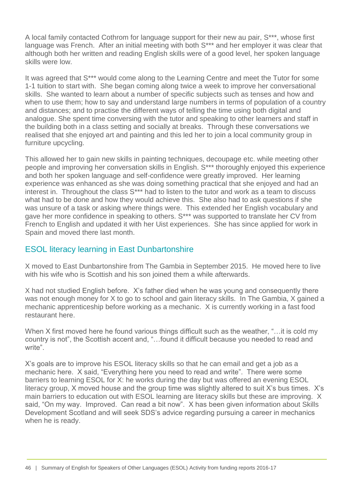A local family contacted Cothrom for language support for their new au pair, S\*\*\*, whose first language was French. After an initial meeting with both S\*\*\* and her employer it was clear that although both her written and reading English skills were of a good level, her spoken language skills were low.

It was agreed that S\*\*\* would come along to the Learning Centre and meet the Tutor for some 1-1 tuition to start with. She began coming along twice a week to improve her conversational skills. She wanted to learn about a number of specific subjects such as tenses and how and when to use them; how to say and understand large numbers in terms of population of a country and distances; and to practise the different ways of telling the time using both digital and analogue. She spent time conversing with the tutor and speaking to other learners and staff in the building both in a class setting and socially at breaks. Through these conversations we realised that she enjoyed art and painting and this led her to join a local community group in furniture upcycling.

This allowed her to gain new skills in painting techniques, decoupage etc. while meeting other people and improving her conversation skills in English. S\*\*\* thoroughly enjoyed this experience and both her spoken language and self-confidence were greatly improved. Her learning experience was enhanced as she was doing something practical that she enjoyed and had an interest in. Throughout the class S<sup>\*\*\*</sup> had to listen to the tutor and work as a team to discuss what had to be done and how they would achieve this. She also had to ask questions if she was unsure of a task or asking where things were. This extended her English vocabulary and gave her more confidence in speaking to others. S\*\*\* was supported to translate her CV from French to English and updated it with her Uist experiences. She has since applied for work in Spain and moved there last month.

#### <span id="page-45-0"></span>ESOL literacy learning in East Dunbartonshire

X moved to East Dunbartonshire from The Gambia in September 2015. He moved here to live with his wife who is Scottish and his son joined them a while afterwards.

X had not studied English before. X's father died when he was young and consequently there was not enough money for X to go to school and gain literacy skills. In The Gambia, X gained a mechanic apprenticeship before working as a mechanic. X is currently working in a fast food restaurant here.

When X first moved here he found various things difficult such as the weather, "... it is cold my country is not", the Scottish accent and, "…found it difficult because you needed to read and write".

X's goals are to improve his ESOL literacy skills so that he can email and get a job as a mechanic here. X said, "Everything here you need to read and write". There were some barriers to learning ESOL for X: he works during the day but was offered an evening ESOL literacy group, X moved house and the group time was slightly altered to suit X's bus times. X's main barriers to education out with ESOL learning are literacy skills but these are improving. X said, "On my way. Improved. Can read a bit now". X has been given information about Skills Development Scotland and will seek SDS's advice regarding pursuing a career in mechanics when he is ready.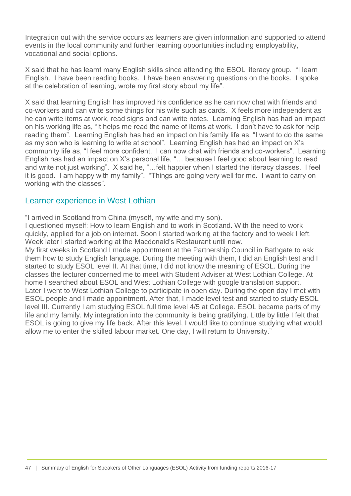Integration out with the service occurs as learners are given information and supported to attend events in the local community and further learning opportunities including employability, vocational and social options.

X said that he has learnt many English skills since attending the ESOL literacy group. "I learn English. I have been reading books. I have been answering questions on the books. I spoke at the celebration of learning, wrote my first story about my life".

X said that learning English has improved his confidence as he can now chat with friends and co-workers and can write some things for his wife such as cards. X feels more independent as he can write items at work, read signs and can write notes. Learning English has had an impact on his working life as, "It helps me read the name of items at work. I don't have to ask for help reading them". Learning English has had an impact on his family life as, "I want to do the same as my son who is learning to write at school". Learning English has had an impact on X's community life as, "I feel more confident. I can now chat with friends and co-workers". Learning English has had an impact on X's personal life, "… because I feel good about learning to read and write not just working". X said he, "…felt happier when I started the literacy classes. I feel it is good. I am happy with my family". "Things are going very well for me. I want to carry on working with the classes".

#### <span id="page-46-0"></span>Learner experience in West Lothian

"I arrived in Scotland from China (myself, my wife and my son).

I questioned myself: How to learn English and to work in Scotland. With the need to work quickly, applied for a job on internet. Soon I started working at the factory and to week I left. Week later I started working at the Macdonald's Restaurant until now.

My first weeks in Scotland I made appointment at the Partnership Council in Bathgate to ask them how to study English language. During the meeting with them, I did an English test and I started to study ESOL level II. At that time, I did not know the meaning of ESOL. During the classes the lecturer concerned me to meet with Student Adviser at West Lothian College. At home I searched about ESOL and West Lothian College with google translation support. Later I went to West Lothian College to participate in open day. During the open day I met with ESOL people and I made appointment. After that, I made level test and started to study ESOL level III. Currently I am studying ESOL full time level 4/5 at College. ESOL became parts of my life and my family. My integration into the community is being gratifying. Little by little I felt that ESOL is going to give my life back. After this level, I would like to continue studying what would allow me to enter the skilled labour market. One day, I will return to University."